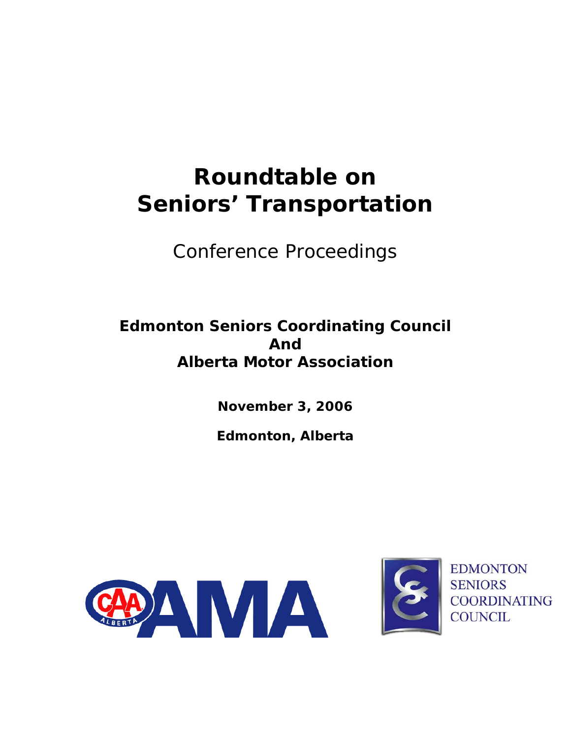# **Roundtable on Seniors' Transportation**

*Conference Proceedings* 

# **Edmonton Seniors Coordinating Council And Alberta Motor Association**

**November 3, 2006** 

**Edmonton, Alberta** 





**EDMONTON SENIORS COORDINATING COUNCIL**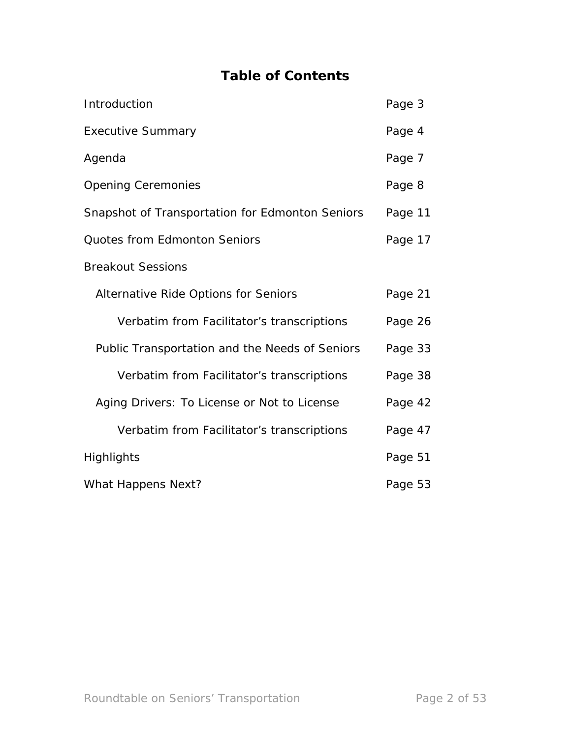# **Table of Contents**

| Introduction                                    | Page 3  |
|-------------------------------------------------|---------|
| <b>Executive Summary</b>                        | Page 4  |
| Agenda                                          | Page 7  |
| <b>Opening Ceremonies</b>                       | Page 8  |
| Snapshot of Transportation for Edmonton Seniors | Page 11 |
| <b>Quotes from Edmonton Seniors</b>             | Page 17 |
| <b>Breakout Sessions</b>                        |         |
| Alternative Ride Options for Seniors            | Page 21 |
| Verbatim from Facilitator's transcriptions      | Page 26 |
| Public Transportation and the Needs of Seniors  | Page 33 |
| Verbatim from Facilitator's transcriptions      | Page 38 |
| Aging Drivers: To License or Not to License     | Page 42 |
| Verbatim from Facilitator's transcriptions      | Page 47 |
| Highlights                                      | Page 51 |
| What Happens Next?                              | Page 53 |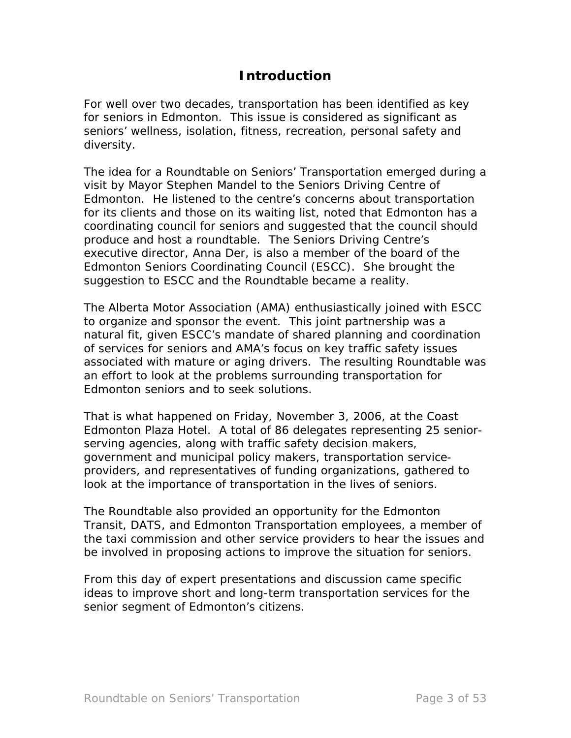# **Introduction**

For well over two decades, transportation has been identified as key for seniors in Edmonton. This issue is considered as significant as seniors' wellness, isolation, fitness, recreation, personal safety and diversity.

The idea for a Roundtable on Seniors' Transportation emerged during a visit by Mayor Stephen Mandel to the Seniors Driving Centre of Edmonton. He listened to the centre's concerns about transportation for its clients and those on its waiting list, noted that Edmonton has a coordinating council for seniors and suggested that the council should produce and host a roundtable. The Seniors Driving Centre's executive director, Anna Der, is also a member of the board of the Edmonton Seniors Coordinating Council (ESCC). She brought the suggestion to ESCC and the Roundtable became a reality.

The Alberta Motor Association (AMA) enthusiastically joined with ESCC to organize and sponsor the event. This joint partnership was a natural fit, given ESCC's mandate of shared planning and coordination of services for seniors and AMA's focus on key traffic safety issues associated with mature or aging drivers. The resulting Roundtable was an effort to look at the problems surrounding transportation for Edmonton seniors and to seek solutions.

That is what happened on Friday, November 3, 2006, at the Coast Edmonton Plaza Hotel. A total of 86 delegates representing 25 seniorserving agencies, along with traffic safety decision makers, government and municipal policy makers, transportation serviceproviders, and representatives of funding organizations, gathered to look at the importance of transportation in the lives of seniors.

The Roundtable also provided an opportunity for the Edmonton Transit, DATS, and Edmonton Transportation employees, a member of the taxi commission and other service providers to hear the issues and be involved in proposing actions to improve the situation for seniors.

From this day of expert presentations and discussion came specific ideas to improve short and long-term transportation services for the senior segment of Edmonton's citizens.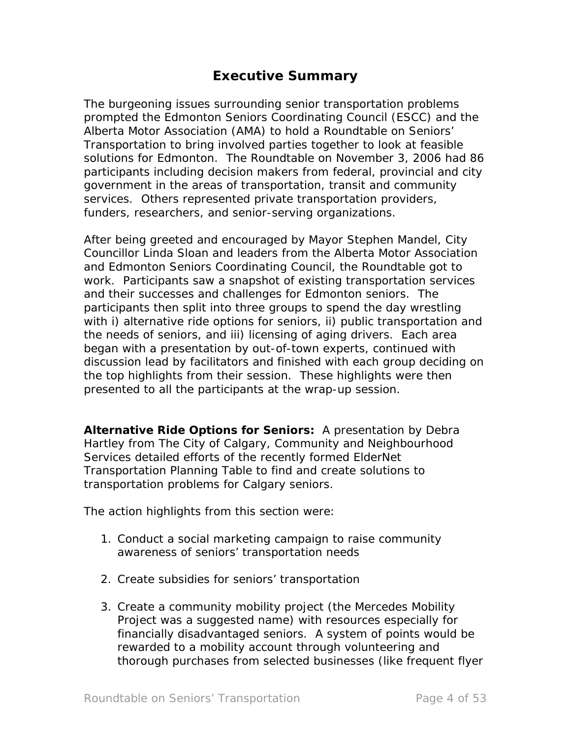# **Executive Summary**

The burgeoning issues surrounding senior transportation problems prompted the Edmonton Seniors Coordinating Council (ESCC) and the Alberta Motor Association (AMA) to hold a Roundtable on Seniors' Transportation to bring involved parties together to look at feasible solutions for Edmonton. The Roundtable on November 3, 2006 had 86 participants including decision makers from federal, provincial and city government in the areas of transportation, transit and community services. Others represented private transportation providers, funders, researchers, and senior-serving organizations.

After being greeted and encouraged by Mayor Stephen Mandel, City Councillor Linda Sloan and leaders from the Alberta Motor Association and Edmonton Seniors Coordinating Council, the Roundtable got to work. Participants saw a snapshot of existing transportation services and their successes and challenges for Edmonton seniors. The participants then split into three groups to spend the day wrestling with i) alternative ride options for seniors, ii) public transportation and the needs of seniors, and iii) licensing of aging drivers. Each area began with a presentation by out-of-town experts, continued with discussion lead by facilitators and finished with each group deciding on the top highlights from their session. These highlights were then presented to all the participants at the wrap-up session.

*Alternative Ride Options for Seniors***:** A presentation by Debra Hartley from The City of Calgary, Community and Neighbourhood Services detailed efforts of the recently formed ElderNet Transportation Planning Table to find and create solutions to transportation problems for Calgary seniors.

The action highlights from this section were:

- 1. Conduct a social marketing campaign to raise community awareness of seniors' transportation needs
- 2. Create subsidies for seniors' transportation
- 3. Create a community mobility project (the Mercedes Mobility Project was a suggested name) with resources especially for financially disadvantaged seniors. A system of points would be rewarded to a mobility account through volunteering and thorough purchases from selected businesses (like frequent flyer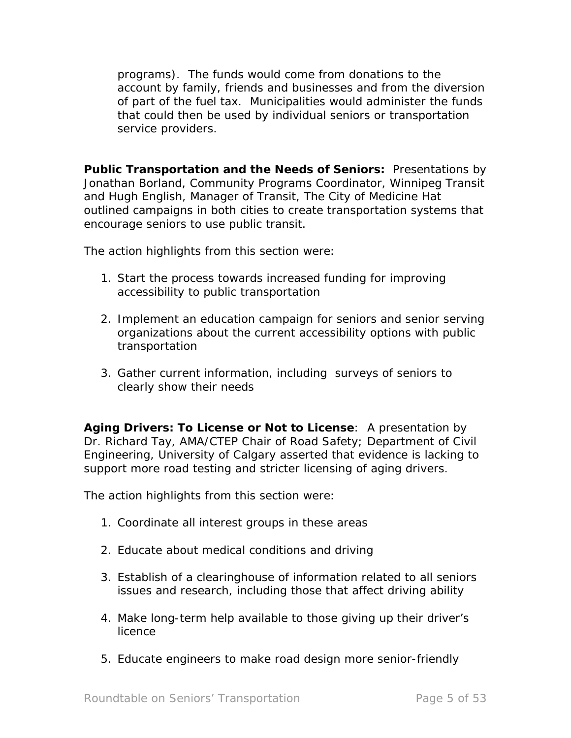programs). The funds would come from donations to the account by family, friends and businesses and from the diversion of part of the fuel tax. Municipalities would administer the funds that could then be used by individual seniors or transportation service providers.

**Public Transportation and the Needs of Seniors:** Presentations by Jonathan Borland, Community Programs Coordinator, Winnipeg Transit and Hugh English, Manager of Transit, The City of Medicine Hat outlined campaigns in both cities to create transportation systems that encourage seniors to use public transit.

The action highlights from this section were:

- 1. Start the process towards increased funding for improving accessibility to public transportation
- 2. Implement an education campaign for seniors and senior serving organizations about the current accessibility options with public transportation
- 3. Gather current information, including surveys of seniors to clearly show their needs

*Aging Drivers: To License or Not to License*: A presentation by Dr. Richard Tay, AMA/CTEP Chair of Road Safety; Department of Civil Engineering, University of Calgary asserted that evidence is lacking to support more road testing and stricter licensing of aging drivers.

The action highlights from this section were:

- 1. Coordinate all interest groups in these areas
- 2. Educate about medical conditions and driving
- 3. Establish of a clearinghouse of information related to all seniors issues and research, including those that affect driving ability
- 4. Make long-term help available to those giving up their driver's licence
- 5. Educate engineers to make road design more senior-friendly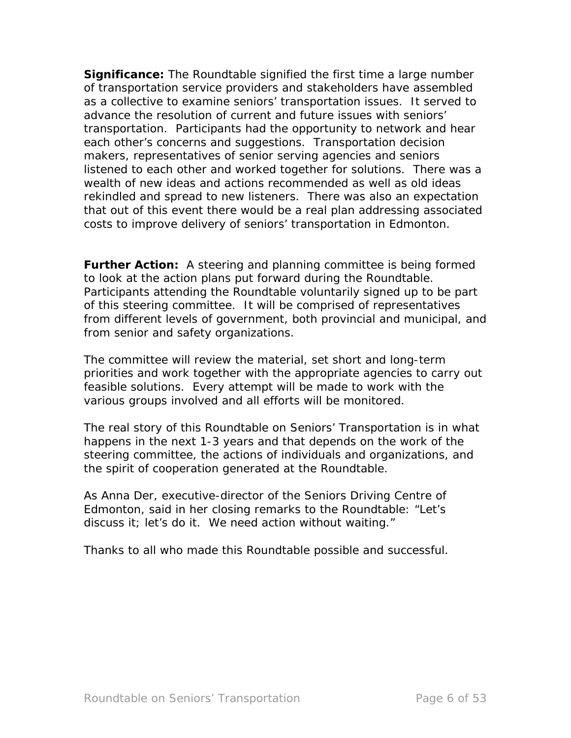**Significance:** The Roundtable signified the first time a large number of transportation service providers and stakeholders have assembled as a collective to examine seniors' transportation issues. It served to advance the resolution of current and future issues with seniors' transportation. Participants had the opportunity to network and hear each other's concerns and suggestions. Transportation decision makers, representatives of senior serving agencies and seniors listened to each other and worked together for solutions. There was a wealth of new ideas and actions recommended as well as old ideas rekindled and spread to new listeners. There was also an expectation that out of this event there would be a real plan addressing associated costs to improve delivery of seniors' transportation in Edmonton.

**Further Action:** A steering and planning committee is being formed to look at the action plans put forward during the Roundtable. Participants attending the Roundtable voluntarily signed up to be part of this steering committee. It will be comprised of representatives from different levels of government, both provincial and municipal, and from senior and safety organizations.

The committee will review the material, set short and long-term priorities and work together with the appropriate agencies to carry out feasible solutions. Every attempt will be made to work with the various groups involved and all efforts will be monitored.

The real story of this Roundtable on Seniors' Transportation is in what happens in the next 1-3 years and that depends on the work of the steering committee, the actions of individuals and organizations, and the spirit of cooperation generated at the Roundtable.

As Anna Der, executive-director of the Seniors Driving Centre of Edmonton, said in her closing remarks to the Roundtable: "Let's discuss it; let's do it. We need action without waiting."

Thanks to all who made this Roundtable possible and successful.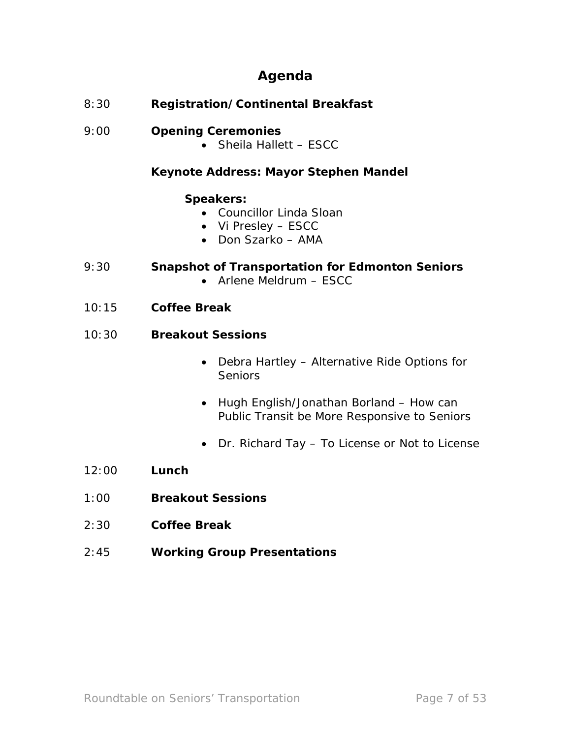# **Agenda**

8:30 **Registration/Continental Breakfast**

# 9:00 **Opening Ceremonies**

• Sheila Hallett – ESCC

## **Keynote Address: Mayor Stephen Mandel**

#### **Speakers:**

- Councillor Linda Sloan
- Vi Presley ESCC
- Don Szarko AMA

## 9:30 **Snapshot of Transportation for Edmonton Seniors**

- Arlene Meldrum ESCC
- 10:15 **Coffee Break**
- 10:30 **Breakout Sessions**
	- Debra Hartley *Alternative Ride Options for Seniors*
	- Hugh English/Jonathan Borland *How can Public Transit be More Responsive to Seniors*
	- Dr. Richard Tay *To License or Not to License*
- 12:00 **Lunch**
- 1:00 **Breakout Sessions**
- 2:30 **Coffee Break**
- 2:45 **Working Group Presentations**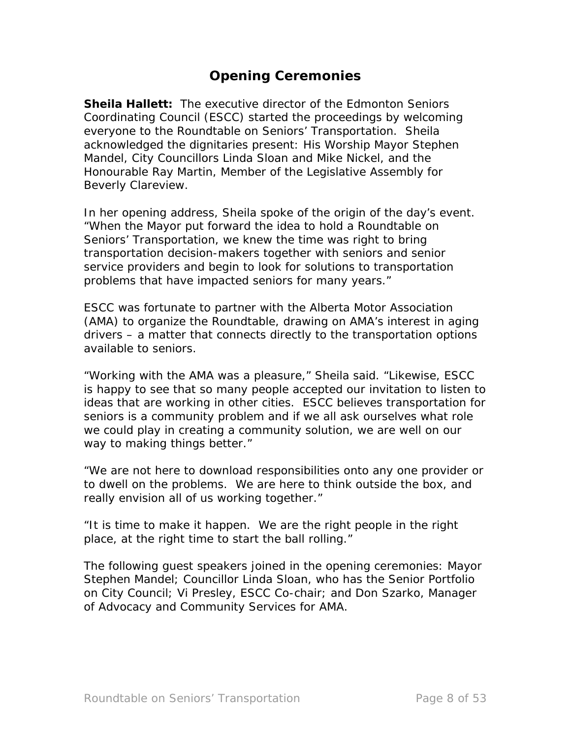# **Opening Ceremonies**

**Sheila Hallett:** The executive director of the Edmonton Seniors Coordinating Council (ESCC) started the proceedings by welcoming everyone to the Roundtable on Seniors' Transportation. Sheila acknowledged the dignitaries present: His Worship Mayor Stephen Mandel, City Councillors Linda Sloan and Mike Nickel, and the Honourable Ray Martin, Member of the Legislative Assembly for Beverly Clareview.

In her opening address, Sheila spoke of the origin of the day's event. "When the Mayor put forward the idea to hold a Roundtable on Seniors' Transportation, we knew the time was right to bring transportation decision-makers together with seniors and senior service providers and begin to look for solutions to transportation problems that have impacted seniors for many years."

ESCC was fortunate to partner with the Alberta Motor Association (AMA) to organize the Roundtable, drawing on AMA's interest in aging drivers – a matter that connects directly to the transportation options available to seniors.

"Working with the AMA was a pleasure," Sheila said. "Likewise, ESCC is happy to see that so many people accepted our invitation to listen to ideas that are working in other cities. ESCC believes transportation for seniors is a community problem and if we all ask ourselves what role we could play in creating a community solution, we are well on our way to making things better."

"We are not here to download responsibilities onto any one provider or to dwell on the problems. We are here to think outside the box, and really envision all of us working together."

"It is time to make it happen. We are the right people in the right place, at the right time to start the ball rolling."

The following guest speakers joined in the opening ceremonies: Mayor Stephen Mandel; Councillor Linda Sloan, who has the Senior Portfolio on City Council; Vi Presley, ESCC Co-chair; and Don Szarko, Manager of Advocacy and Community Services for AMA.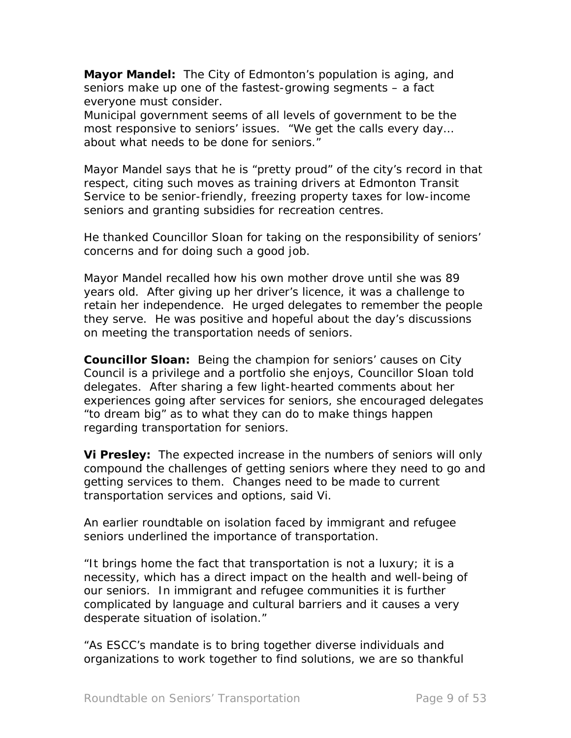**Mayor Mandel:** The City of Edmonton's population is aging, and seniors make up one of the fastest-growing segments – a fact everyone must consider.

Municipal government seems of all levels of government to be the most responsive to seniors' issues. "We get the calls every day… about what needs to be done for seniors."

Mayor Mandel says that he is "pretty proud" of the city's record in that respect, citing such moves as training drivers at Edmonton Transit Service to be senior-friendly, freezing property taxes for low-income seniors and granting subsidies for recreation centres.

He thanked Councillor Sloan for taking on the responsibility of seniors' concerns and for doing such a good job.

Mayor Mandel recalled how his own mother drove until she was 89 years old. After giving up her driver's licence, it was a challenge to retain her independence. He urged delegates to remember the people they serve. He was positive and hopeful about the day's discussions on meeting the transportation needs of seniors.

**Councillor Sloan:** Being the champion for seniors' causes on City Council is a privilege and a portfolio she enjoys, Councillor Sloan told delegates. After sharing a few light-hearted comments about her experiences going after services for seniors, she encouraged delegates "to dream big" as to what they can do to make things happen regarding transportation for seniors.

**Vi Presley:** The expected increase in the numbers of seniors will only compound the challenges of getting seniors where they need to go and getting services to them. Changes need to be made to current transportation services and options, said Vi.

An earlier roundtable on isolation faced by immigrant and refugee seniors underlined the importance of transportation.

"It brings home the fact that transportation is not a luxury; it is a necessity, which has a direct impact on the health and well-being of our seniors. In immigrant and refugee communities it is further complicated by language and cultural barriers and it causes a very desperate situation of isolation."

"As ESCC's mandate is to bring together diverse individuals and organizations to work together to find solutions, we are so thankful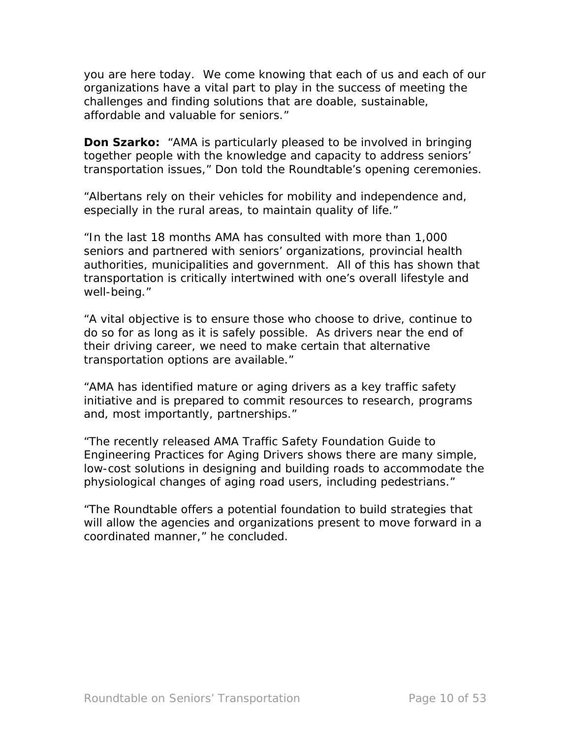you are here today. We come knowing that each of us and each of our organizations have a vital part to play in the success of meeting the challenges and finding solutions that are doable, sustainable, affordable and valuable for seniors."

**Don Szarko:** "AMA is particularly pleased to be involved in bringing together people with the knowledge and capacity to address seniors' transportation issues," Don told the Roundtable's opening ceremonies.

"Albertans rely on their vehicles for mobility and independence and, especially in the rural areas, to maintain quality of life."

"In the last 18 months AMA has consulted with more than 1,000 seniors and partnered with seniors' organizations, provincial health authorities, municipalities and government. All of this has shown that transportation is critically intertwined with one's overall lifestyle and well-being."

"A vital objective is to ensure those who choose to drive, continue to do so for as long as it is safely possible. As drivers near the end of their driving career, we need to make certain that alternative transportation options are available."

"AMA has identified mature or aging drivers as a key traffic safety initiative and is prepared to commit resources to research, programs and, most importantly, partnerships."

"The recently released *AMA Traffic Safety Foundation Guide to Engineering Practices for Aging Drivers* shows there are many simple, low-cost solutions in designing and building roads to accommodate the physiological changes of aging road users, including pedestrians."

"The Roundtable offers a potential foundation to build strategies that will allow the agencies and organizations present to move forward in a coordinated manner," he concluded.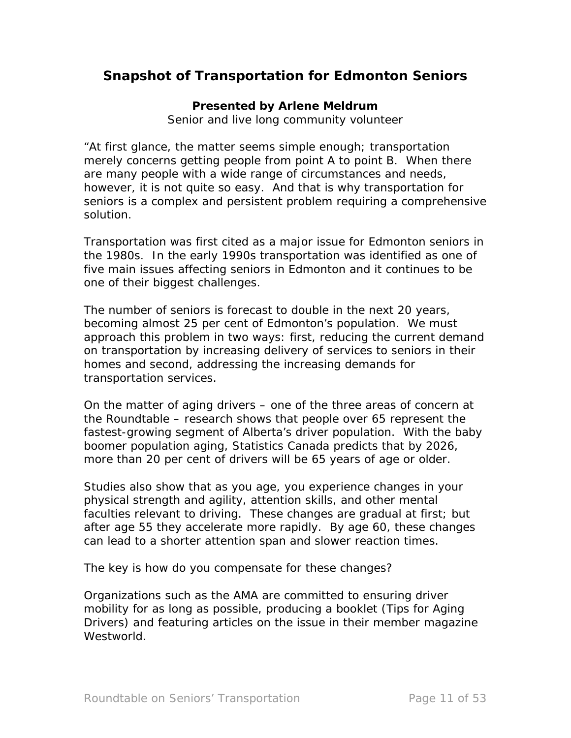# **Snapshot of Transportation for Edmonton Seniors**

#### **Presented by Arlene Meldrum**

*Senior and live long community volunteer* 

"At first glance, the matter seems simple enough; transportation merely concerns getting people from point A to point B. When there are many people with a wide range of circumstances and needs, however, it is not quite so easy. And that is why transportation for seniors is a complex and persistent problem requiring a comprehensive solution.

Transportation was first cited as a major issue for Edmonton seniors in the 1980s. In the early 1990s transportation was identified as one of five main issues affecting seniors in Edmonton and it continues to be one of their biggest challenges.

The number of seniors is forecast to double in the next 20 years, becoming almost 25 per cent of Edmonton's population. We must approach this problem in two ways: first, reducing the current demand on transportation by increasing delivery of services to seniors in their homes and second, addressing the increasing demands for transportation services.

On the matter of aging drivers – one of the three areas of concern at the Roundtable – research shows that people over 65 represent the fastest-growing segment of Alberta's driver population. With the baby boomer population aging, Statistics Canada predicts that by 2026, more than 20 per cent of drivers will be 65 years of age or older.

Studies also show that as you age, you experience changes in your physical strength and agility, attention skills, and other mental faculties relevant to driving. These changes are gradual at first; but after age 55 they accelerate more rapidly. By age 60, these changes can lead to a shorter attention span and slower reaction times.

The key is how do you compensate for these changes?

Organizations such as the AMA are committed to ensuring driver mobility for as long as possible, producing a booklet (*Tips for Aging Drivers*) and featuring articles on the issue in their member magazine *Westworld*.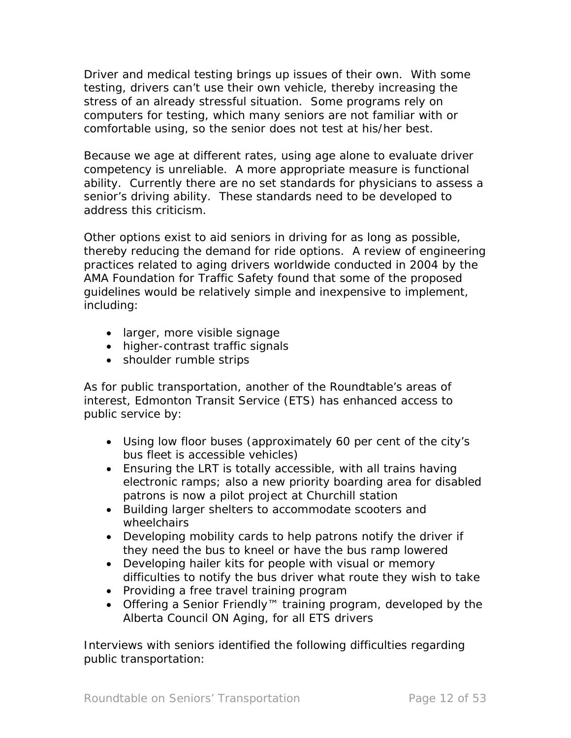Driver and medical testing brings up issues of their own. With some testing, drivers can't use their own vehicle, thereby increasing the stress of an already stressful situation. Some programs rely on computers for testing, which many seniors are not familiar with or comfortable using, so the senior does not test at his/her best.

Because we age at different rates, using age alone to evaluate driver competency is unreliable. A more appropriate measure is functional ability. Currently there are no set standards for physicians to assess a senior's driving ability. These standards need to be developed to address this criticism.

Other options exist to aid seniors in driving for as long as possible, thereby reducing the demand for ride options. A review of engineering practices related to aging drivers worldwide conducted in 2004 by the AMA Foundation for Traffic Safety found that some of the proposed guidelines would be relatively simple and inexpensive to implement, including:

- larger, more visible signage
- higher-contrast traffic signals
- shoulder rumble strips

As for public transportation, another of the Roundtable's areas of interest, Edmonton Transit Service (ETS) has enhanced access to public service by:

- Using low floor buses (approximately 60 per cent of the city's bus fleet is accessible vehicles)
- Ensuring the LRT is totally accessible, with all trains having electronic ramps; also a new priority boarding area for disabled patrons is now a pilot project at Churchill station
- Building larger shelters to accommodate scooters and wheelchairs
- Developing mobility cards to help patrons notify the driver if they need the bus to kneel or have the bus ramp lowered
- Developing hailer kits for people with visual or memory difficulties to notify the bus driver what route they wish to take
- Providing a free travel training program
- Offering a Senior Friendly™ training program, developed by the Alberta Council ON Aging, for all ETS drivers

Interviews with seniors identified the following difficulties regarding public transportation: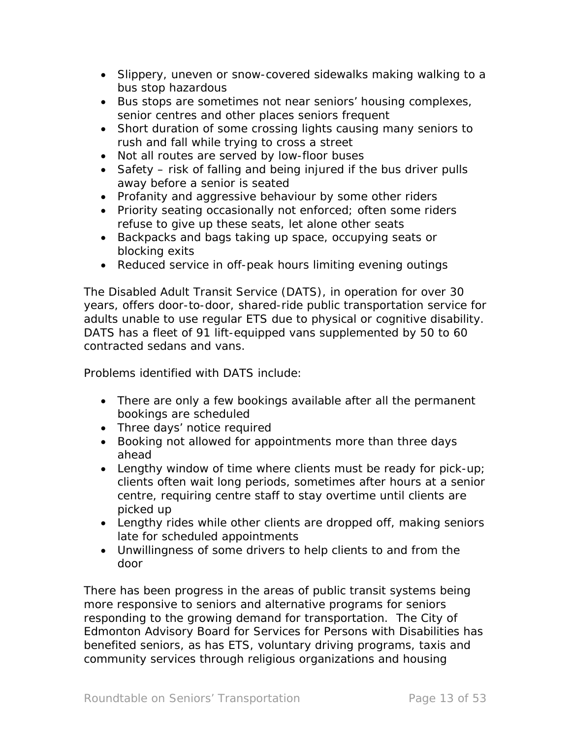- Slippery, uneven or snow-covered sidewalks making walking to a bus stop hazardous
- Bus stops are sometimes not near seniors' housing complexes, senior centres and other places seniors frequent
- Short duration of some crossing lights causing many seniors to rush and fall while trying to cross a street
- Not all routes are served by low-floor buses
- Safety risk of falling and being injured if the bus driver pulls away before a senior is seated
- Profanity and aggressive behaviour by some other riders
- Priority seating occasionally not enforced; often some riders refuse to give up these seats, let alone other seats
- Backpacks and bags taking up space, occupying seats or blocking exits
- Reduced service in off-peak hours limiting evening outings

The Disabled Adult Transit Service (DATS), in operation for over 30 years, offers door-to-door, shared-ride public transportation service for adults unable to use regular ETS due to physical or cognitive disability. DATS has a fleet of 91 lift-equipped vans supplemented by 50 to 60 contracted sedans and vans.

Problems identified with DATS include:

- There are only a few bookings available after all the permanent bookings are scheduled
- Three days' notice required
- Booking not allowed for appointments more than three days ahead
- Lengthy window of time where clients must be ready for pick-up; clients often wait long periods, sometimes after hours at a senior centre, requiring centre staff to stay overtime until clients are picked up
- Lengthy rides while other clients are dropped off, making seniors late for scheduled appointments
- Unwillingness of some drivers to help clients to and from the door

There has been progress in the areas of public transit systems being more responsive to seniors and alternative programs for seniors responding to the growing demand for transportation. The City of Edmonton Advisory Board for Services for Persons with Disabilities has benefited seniors, as has ETS, voluntary driving programs, taxis and community services through religious organizations and housing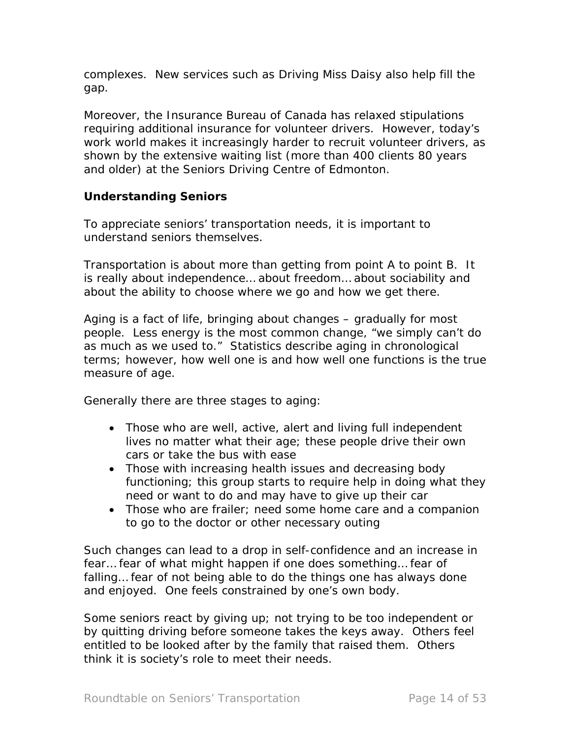complexes. New services such as Driving Miss Daisy also help fill the gap.

Moreover, the Insurance Bureau of Canada has relaxed stipulations requiring additional insurance for volunteer drivers. However, today's work world makes it increasingly harder to recruit volunteer drivers, as shown by the extensive waiting list (more than 400 clients 80 years and older) at the Seniors Driving Centre of Edmonton.

# **Understanding Seniors**

To appreciate seniors' transportation needs, it is important to understand seniors themselves.

Transportation is about more than getting from point A to point B. It is really about independence… about freedom… about sociability and about the ability to choose where we go and how we get there.

Aging is a fact of life, bringing about changes – gradually for most people. Less energy is the most common change, "we simply can't do as much as we used to." Statistics describe aging in chronological terms; however, how well one is and how well one functions is the true measure of age.

Generally there are three stages to aging:

- Those who are well, active, alert and living full independent lives no matter what their age; these people drive their own cars or take the bus with ease
- Those with increasing health issues and decreasing body functioning; this group starts to require help in doing what they need or want to do and may have to give up their car
- Those who are frailer; need some home care and a companion to go to the doctor or other necessary outing

Such changes can lead to a drop in self-confidence and an increase in fear… fear of what might happen if one does something… fear of falling… fear of not being able to do the things one has always done and enjoyed. One feels constrained by one's own body.

Some seniors react by giving up; not trying to be too independent or by quitting driving before someone takes the keys away. Others feel entitled to be looked after by the family that raised them. Others think it is society's role to meet their needs.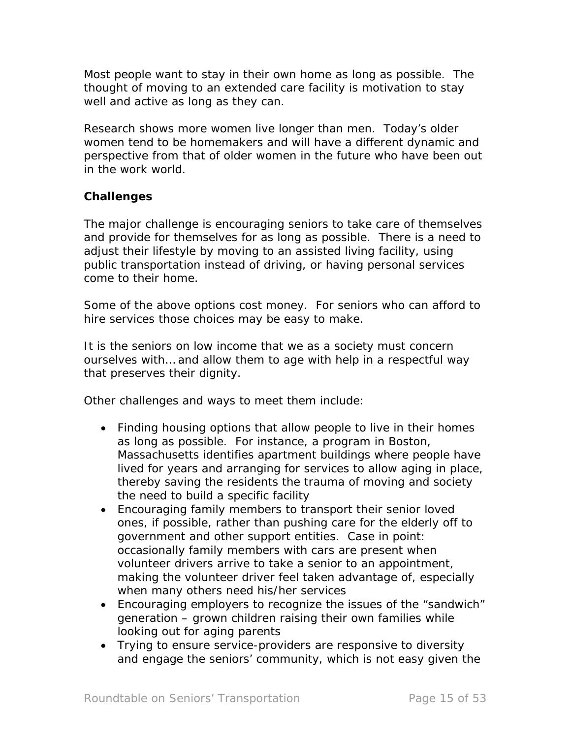Most people want to stay in their own home as long as possible. The thought of moving to an extended care facility is motivation to stay well and active as long as they can.

Research shows more women live longer than men. Today's older women tend to be homemakers and will have a different dynamic and perspective from that of older women in the future who have been out in the work world.

## **Challenges**

The major challenge is encouraging seniors to take care of themselves and provide for themselves for as long as possible. There is a need to adjust their lifestyle by moving to an assisted living facility, using public transportation instead of driving, or having personal services come to their home.

Some of the above options cost money. For seniors who can afford to hire services those choices may be easy to make.

It is the seniors on low income that we as a society must concern ourselves with… and allow them to age with help in a respectful way that preserves their dignity.

Other challenges and ways to meet them include:

- Finding housing options that allow people to live in their homes as long as possible. For instance, a program in Boston, Massachusetts identifies apartment buildings where people have lived for years and arranging for services to allow aging in place, thereby saving the residents the trauma of moving and society the need to build a specific facility
- Encouraging family members to transport their senior loved ones, if possible, rather than pushing care for the elderly off to government and other support entities. Case in point: occasionally family members with cars are present when volunteer drivers arrive to take a senior to an appointment, making the volunteer driver feel taken advantage of, especially when many others need his/her services
- Encouraging employers to recognize the issues of the "sandwich" generation – grown children raising their own families while looking out for aging parents
- Trying to ensure service-providers are responsive to diversity and engage the seniors' community, which is not easy given the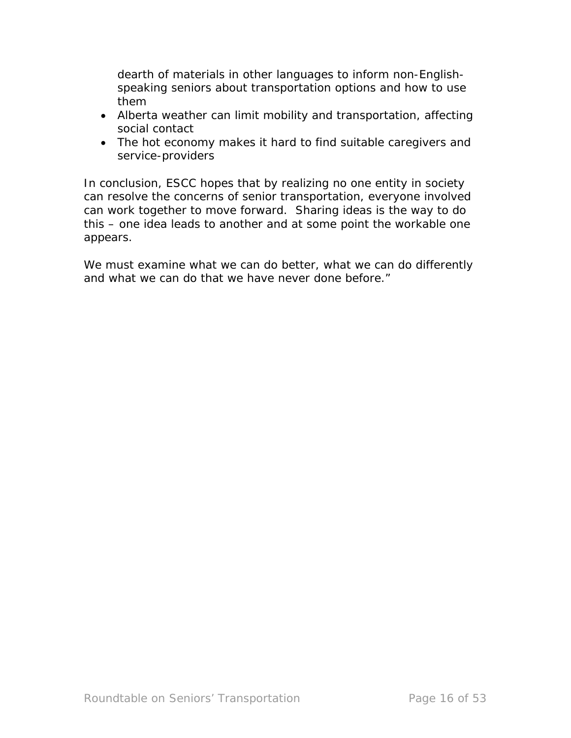dearth of materials in other languages to inform non-Englishspeaking seniors about transportation options and how to use them

- Alberta weather can limit mobility and transportation, affecting social contact
- The hot economy makes it hard to find suitable caregivers and service-providers

In conclusion, ESCC hopes that by realizing no one entity in society can resolve the concerns of senior transportation, everyone involved can work together to move forward. Sharing ideas is the way to do this – one idea leads to another and at some point the workable one appears.

We must examine what we can do better, what we can do differently and what we can do that we have never done before."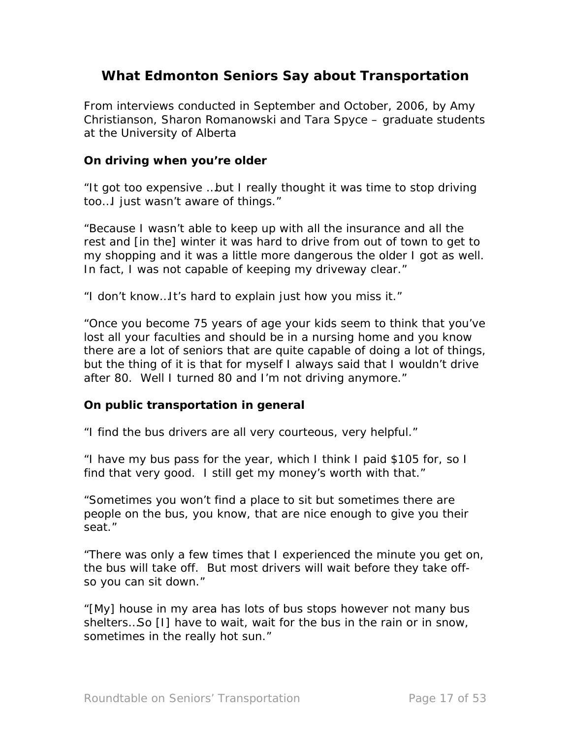# **What Edmonton Seniors Say about Transportation**

From interviews conducted in September and October, 2006, by Amy Christianson, Sharon Romanowski and Tara Spyce – graduate students at the University of Alberta

#### *On driving when you're older*

"It got too expensive …but I really thought it was time to stop driving too…I just wasn't aware of things."

"Because I wasn't able to keep up with all the insurance and all the rest and [in the] winter it was hard to drive from out of town to get to my shopping and it was a little more dangerous the older I got as well. In fact, I was not capable of keeping my driveway clear."

"I don't know…It's hard to explain just how you miss it."

"Once you become 75 years of age your kids seem to think that you've lost all your faculties and should be in a nursing home and you know there are a lot of seniors that are quite capable of doing a lot of things, but the thing of it is that for myself I always said that I wouldn't drive after 80. Well I turned 80 and I'm not driving anymore."

#### *On public transportation in general*

"I find the bus drivers are all very courteous, very helpful."

"I have my bus pass for the year, which I think I paid \$105 for, so I find that very good. I still get my money's worth with that."

"Sometimes you won't find a place to sit but sometimes there are people on the bus, you know, that are nice enough to give you their seat."

"There was only a few times that I experienced the minute you get on, the bus will take off. But most drivers will wait before they take offso you can sit down."

"[My] house in my area has lots of bus stops however not many bus shelters…So [I] have to wait, wait for the bus in the rain or in snow, sometimes in the really hot sun."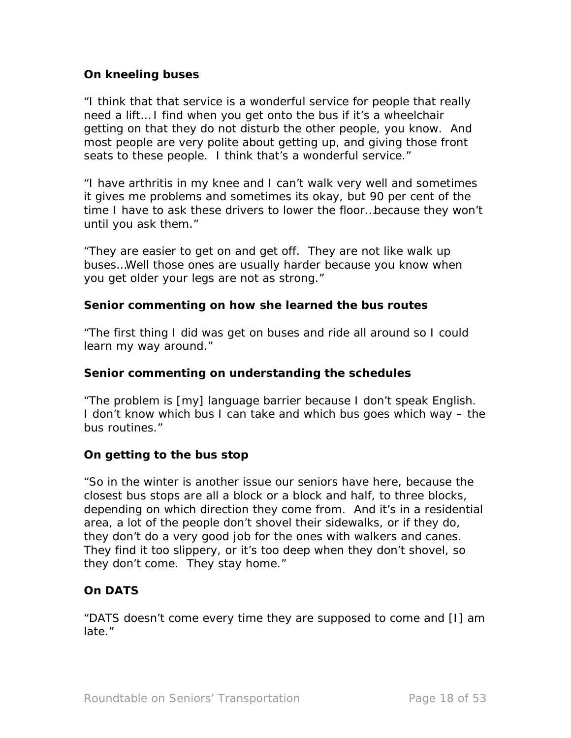## *On kneeling buses*

"I think that that service is a wonderful service for people that really need a lift… I find when you get onto the bus if it's a wheelchair getting on that they do not disturb the other people, you know. And most people are very polite about getting up, and giving those front seats to these people. I think that's a wonderful service."

"I have arthritis in my knee and I can't walk very well and sometimes it gives me problems and sometimes its okay, but 90 per cent of the time I have to ask these drivers to lower the floor…because they won't until you ask them."

"They are easier to get on and get off. They are not like walk up buses…Well those ones are usually harder because you know when you get older your legs are not as strong."

## *Senior commenting on how she learned the bus routes*

"The first thing I did was get on buses and ride all around so I could learn my way around."

## *Senior commenting on understanding the schedules*

"The problem is [my] language barrier because I don't speak English. I don't know which bus I can take and which bus goes which way – the bus routines."

# *On getting to the bus stop*

"So in the winter is another issue our seniors have here, because the closest bus stops are all a block or a block and half, to three blocks, depending on which direction they come from. And it's in a residential area, a lot of the people don't shovel their sidewalks, or if they do, they don't do a very good job for the ones with walkers and canes. They find it too slippery, or it's too deep when they don't shovel, so they don't come. They stay home."

# *On DATS*

"DATS doesn't come every time they are supposed to come and [I] am late."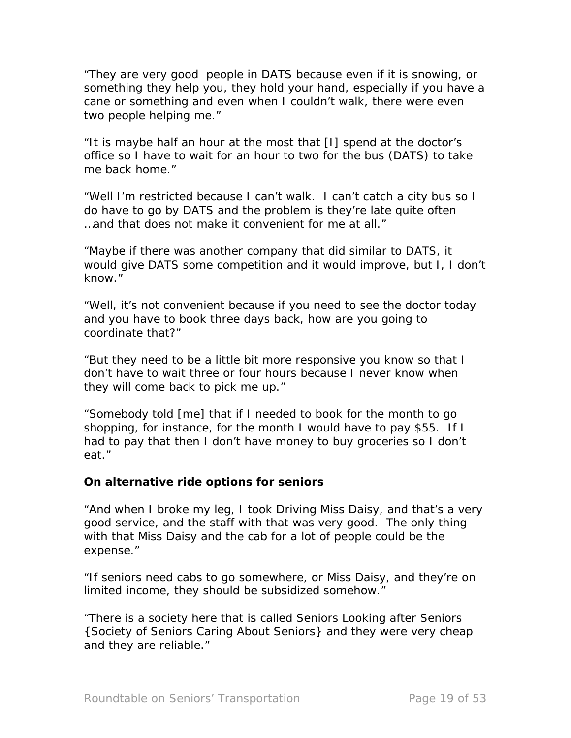"They are very good people in DATS because even if it is snowing, or something they help you, they hold your hand, especially if you have a cane or something and even when I couldn't walk, there were even two people helping me."

"It is maybe half an hour at the most that [I] spend at the doctor's office so I have to wait for an hour to two for the bus (DATS) to take me back home."

"Well I'm restricted because I can't walk. I can't catch a city bus so I do have to go by DATS and the problem is they're late quite often …and that does not make it convenient for me at all."

"Maybe if there was another company that did similar to DATS, it would give DATS some competition and it would improve, but I, I don't know."

"Well, it's not convenient because if you need to see the doctor today and you have to book three days back, how are you going to coordinate that?"

"But they need to be a little bit more responsive you know so that I don't have to wait three or four hours because I never know when they will come back to pick me up."

"Somebody told [me] that if I needed to book for the month to go shopping, for instance, for the month I would have to pay \$55. If I had to pay that then I don't have money to buy groceries so I don't eat."

## *On alternative ride options for seniors*

"And when I broke my leg, I took Driving Miss Daisy, and that's a very good service, and the staff with that was very good. The only thing with that Miss Daisy and the cab for a lot of people could be the expense."

"If seniors need cabs to go somewhere, or Miss Daisy, and they're on limited income, they should be subsidized somehow."

"There is a society here that is called Seniors Looking after Seniors {Society of Seniors Caring About Seniors} and they were very cheap and they are reliable."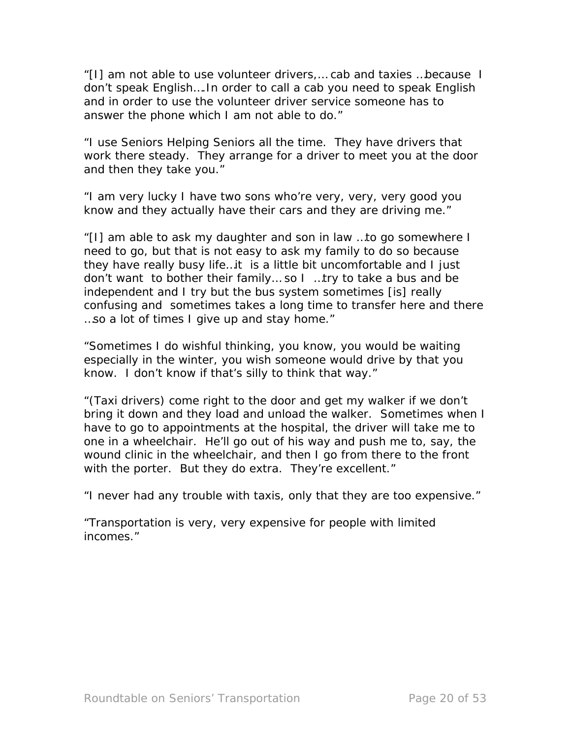"[I] am not able to use volunteer drivers,… cab and taxies …because I don't speak English….In order to call a cab you need to speak English and in order to use the volunteer driver service someone has to answer the phone which I am not able to do."

"I use Seniors Helping Seniors all the time. They have drivers that work there steady. They arrange for a driver to meet you at the door and then they take you."

"I am very lucky I have two sons who're very, very, very good you know and they actually have their cars and they are driving me."

"[I] am able to ask my daughter and son in law …to go somewhere I need to go, but that is not easy to ask my family to do so because they have really busy life…it is a little bit uncomfortable and I just don't want to bother their family… so I …try to take a bus and be independent and I try but the bus system sometimes [is] really confusing and sometimes takes a long time to transfer here and there …so a lot of times I give up and stay home."

"Sometimes I do wishful thinking, you know, you would be waiting especially in the winter, you wish someone would drive by that you know. I don't know if that's silly to think that way."

"(Taxi drivers) come right to the door and get my walker if we don't bring it down and they load and unload the walker. Sometimes when I have to go to appointments at the hospital, the driver will take me to one in a wheelchair. He'll go out of his way and push me to, say, the wound clinic in the wheelchair, and then I go from there to the front with the porter. But they do extra. They're excellent."

"I never had any trouble with taxis, only that they are too expensive."

"Transportation is very, very expensive for people with limited incomes."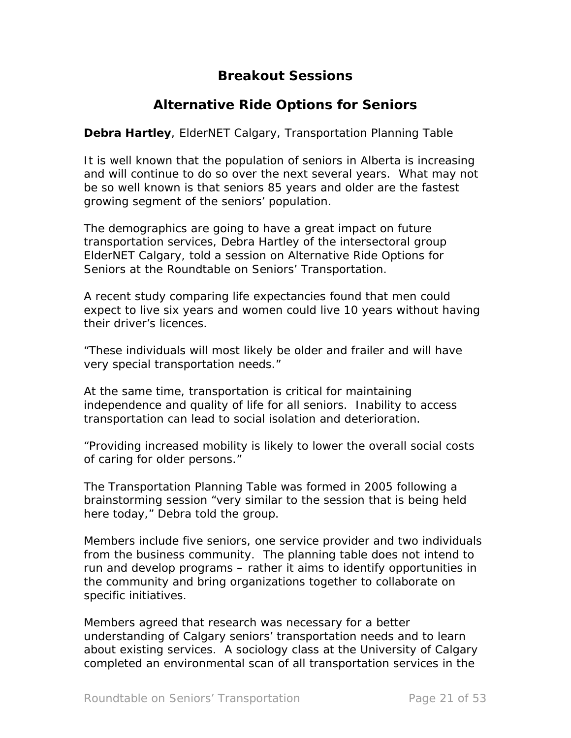# **Breakout Sessions**

# *Alternative Ride Options for Seniors*

**Debra Hartley**, ElderNET Calgary, Transportation Planning Table

It is well known that the population of seniors in Alberta is increasing and will continue to do so over the next several years. What may not be so well known is that seniors 85 years and older are the fastest growing segment of the seniors' population.

The demographics are going to have a great impact on future transportation services, Debra Hartley of the intersectoral group ElderNET Calgary, told a session on Alternative Ride Options for Seniors at the Roundtable on Seniors' Transportation.

A recent study comparing life expectancies found that men could expect to live six years and women could live 10 years without having their driver's licences.

"These individuals will most likely be older and frailer and will have very special transportation needs."

At the same time, transportation is critical for maintaining independence and quality of life for all seniors. Inability to access transportation can lead to social isolation and deterioration.

"Providing increased mobility is likely to lower the overall social costs of caring for older persons."

The Transportation Planning Table was formed in 2005 following a brainstorming session "very similar to the session that is being held here today," Debra told the group.

Members include five seniors, one service provider and two individuals from the business community. The planning table does not intend to run and develop programs – rather it aims to identify opportunities in the community and bring organizations together to collaborate on specific initiatives.

Members agreed that research was necessary for a better understanding of Calgary seniors' transportation needs and to learn about existing services. A sociology class at the University of Calgary completed an environmental scan of all transportation services in the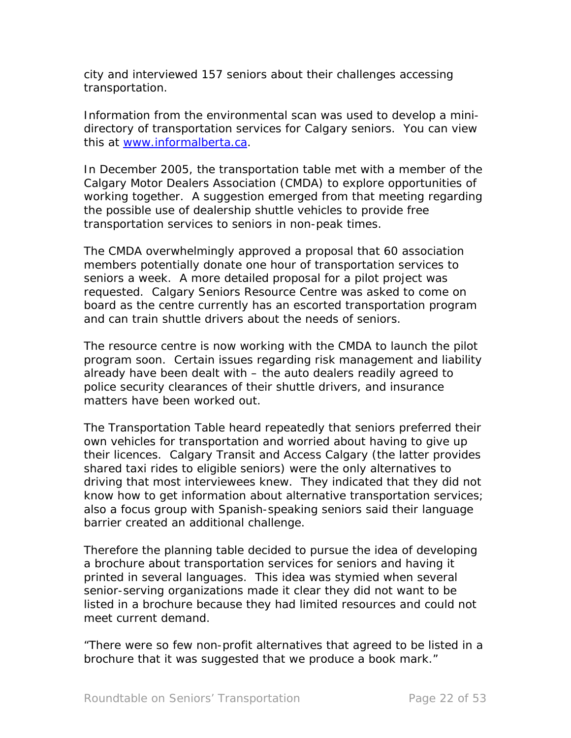city and interviewed 157 seniors about their challenges accessing transportation.

Information from the environmental scan was used to develop a minidirectory of transportation services for Calgary seniors. You can view this at [www.informalberta.ca](http://www.informalberta.ca/).

In December 2005, the transportation table met with a member of the Calgary Motor Dealers Association (CMDA) to explore opportunities of working together. A suggestion emerged from that meeting regarding the possible use of dealership shuttle vehicles to provide free transportation services to seniors in non-peak times.

The CMDA overwhelmingly approved a proposal that 60 association members potentially donate one hour of transportation services to seniors a week. A more detailed proposal for a pilot project was requested. Calgary Seniors Resource Centre was asked to come on board as the centre currently has an escorted transportation program and can train shuttle drivers about the needs of seniors.

The resource centre is now working with the CMDA to launch the pilot program soon. Certain issues regarding risk management and liability already have been dealt with – the auto dealers readily agreed to police security clearances of their shuttle drivers, and insurance matters have been worked out.

The Transportation Table heard repeatedly that seniors preferred their own vehicles for transportation and worried about having to give up their licences. Calgary Transit and Access Calgary (the latter provides shared taxi rides to eligible seniors) were the only alternatives to driving that most interviewees knew. They indicated that they did not know how to get information about alternative transportation services; also a focus group with Spanish-speaking seniors said their language barrier created an additional challenge.

Therefore the planning table decided to pursue the idea of developing a brochure about transportation services for seniors and having it printed in several languages. This idea was stymied when several senior-serving organizations made it clear they did not want to be listed in a brochure because they had limited resources and could not meet current demand.

"There were so few non-profit alternatives that agreed to be listed in a brochure that it was suggested that we produce a book mark."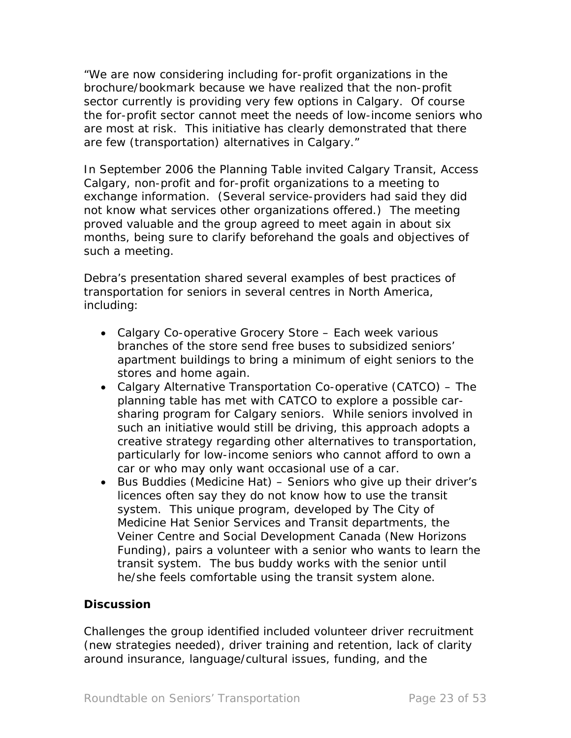"We are now considering including for-profit organizations in the brochure/bookmark because we have realized that the non-profit sector currently is providing very few options in Calgary. Of course the for-profit sector cannot meet the needs of low-income seniors who are most at risk. This initiative has clearly demonstrated that there are few (transportation) alternatives in Calgary."

In September 2006 the Planning Table invited Calgary Transit, Access Calgary, non-profit and for-profit organizations to a meeting to exchange information. (Several service-providers had said they did not know what services other organizations offered.) The meeting proved valuable and the group agreed to meet again in about six months, being sure to clarify beforehand the goals and objectives of such a meeting.

Debra's presentation shared several examples of best practices of transportation for seniors in several centres in North America, including:

- Calgary Co-operative Grocery Store Each week various branches of the store send free buses to subsidized seniors' apartment buildings to bring a minimum of eight seniors to the stores and home again.
- Calgary Alternative Transportation Co-operative (CATCO) The planning table has met with CATCO to explore a possible carsharing program for Calgary seniors. While seniors involved in such an initiative would still be driving, this approach adopts a creative strategy regarding other alternatives to transportation, particularly for low-income seniors who cannot afford to own a car or who may only want occasional use of a car.
- Bus Buddies (Medicine Hat) Seniors who give up their driver's licences often say they do not know how to use the transit system. This unique program, developed by The City of Medicine Hat Senior Services and Transit departments, the Veiner Centre and Social Development Canada (New Horizons Funding), pairs a volunteer with a senior who wants to learn the transit system. The bus buddy works with the senior until he/she feels comfortable using the transit system alone.

## *Discussion*

Challenges the group identified included volunteer driver recruitment (new strategies needed), driver training and retention, lack of clarity around insurance, language/cultural issues, funding, and the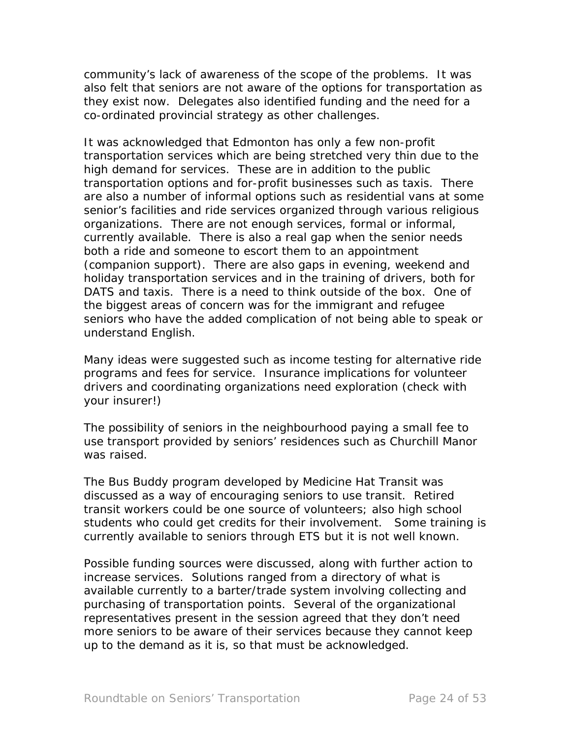community's lack of awareness of the scope of the problems. It was also felt that seniors are not aware of the options for transportation as they exist now. Delegates also identified funding and the need for a co-ordinated provincial strategy as other challenges.

It was acknowledged that Edmonton has only a few non-profit transportation services which are being stretched very thin due to the high demand for services. These are in addition to the public transportation options and for-profit businesses such as taxis. There are also a number of informal options such as residential vans at some senior's facilities and ride services organized through various religious organizations. There are not enough services, formal or informal, currently available. There is also a real gap when the senior needs both a ride and someone to escort them to an appointment (companion support). There are also gaps in evening, weekend and holiday transportation services and in the training of drivers, both for DATS and taxis. There is a need to think outside of the box. One of the biggest areas of concern was for the immigrant and refugee seniors who have the added complication of not being able to speak or understand English.

Many ideas were suggested such as income testing for alternative ride programs and fees for service. Insurance implications for volunteer drivers and coordinating organizations need exploration (check with your insurer!)

The possibility of seniors in the neighbourhood paying a small fee to use transport provided by seniors' residences such as Churchill Manor was raised.

The Bus Buddy program developed by Medicine Hat Transit was discussed as a way of encouraging seniors to use transit. Retired transit workers could be one source of volunteers; also high school students who could get credits for their involvement. Some training is currently available to seniors through ETS but it is not well known.

Possible funding sources were discussed, along with further action to increase services. Solutions ranged from a directory of what is available currently to a barter/trade system involving collecting and purchasing of transportation points. Several of the organizational representatives present in the session agreed that they don't need more seniors to be aware of their services because they cannot keep up to the demand as it is, so that must be acknowledged.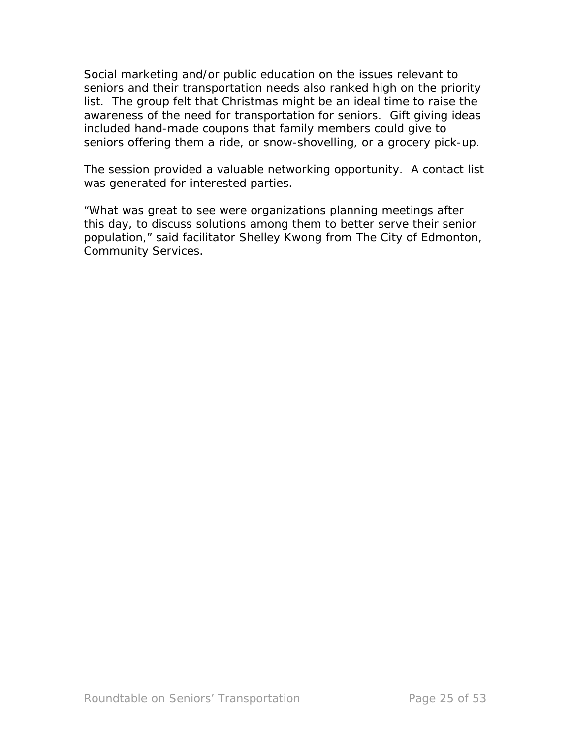Social marketing and/or public education on the issues relevant to seniors and their transportation needs also ranked high on the priority list. The group felt that Christmas might be an ideal time to raise the awareness of the need for transportation for seniors. Gift giving ideas included hand-made coupons that family members could give to seniors offering them a ride, or snow-shovelling, or a grocery pick-up.

The session provided a valuable networking opportunity. A contact list was generated for interested parties.

"What was great to see were organizations planning meetings after this day, to discuss solutions among them to better serve their senior population," said facilitator Shelley Kwong from The City of Edmonton, Community Services.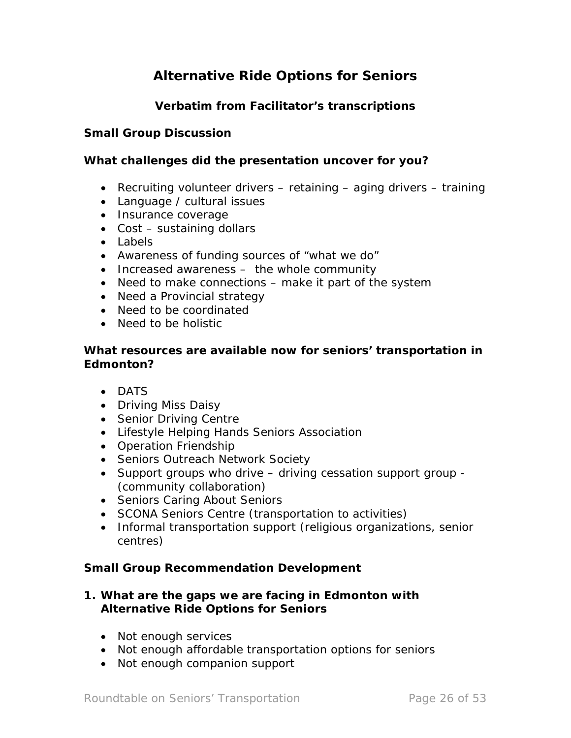# *Alternative Ride Options for Seniors*

# **Verbatim from Facilitator's transcriptions**

#### **Small Group Discussion**

#### **What challenges did the presentation uncover for you?**

- Recruiting volunteer drivers retaining aging drivers training
- Language / cultural issues
- Insurance coverage
- Cost sustaining dollars
- Labels
- Awareness of funding sources of "what we do"
- Increased awareness the whole community
- Need to make connections make it part of the system
- Need a Provincial strategy
- Need to be coordinated
- Need to be holistic

#### **What resources are available now for seniors' transportation in Edmonton?**

- DATS
- Driving Miss Daisy
- Senior Driving Centre
- Lifestyle Helping Hands Seniors Association
- Operation Friendship
- Seniors Outreach Network Society
- Support groups who drive driving cessation support group (community collaboration)
- Seniors Caring About Seniors
- SCONA Seniors Centre (transportation to activities)
- Informal transportation support (religious organizations, senior centres)

#### **Small Group Recommendation Development**

## **1. What are the gaps we are facing in Edmonton with** *Alternative Ride Options for Seniors*

- Not enough services
- Not enough affordable transportation options for seniors
- Not enough companion support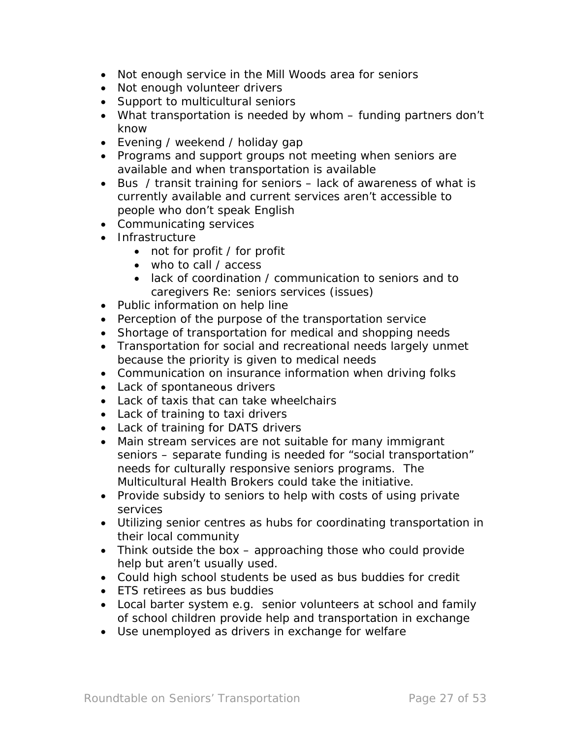- Not enough service in the Mill Woods area for seniors
- Not enough volunteer drivers
- Support to multicultural seniors
- What transportation is needed by whom funding partners don't know
- Evening / weekend / holiday gap
- Programs and support groups not meeting when seniors are available and when transportation is available
- Bus / transit training for seniors lack of awareness of what is currently available and current services aren't accessible to people who don't speak English
- Communicating services
- Infrastructure
	- not for profit / for profit
	- who to call / access
	- lack of coordination / communication to seniors and to caregivers Re: seniors services (issues)
- Public information on help line
- Perception of the purpose of the transportation service
- Shortage of transportation for medical and shopping needs
- Transportation for social and recreational needs largely unmet because the priority is given to medical needs
- Communication on insurance information when driving folks
- Lack of spontaneous drivers
- Lack of taxis that can take wheelchairs
- Lack of training to taxi drivers
- Lack of training for DATS drivers
- Main stream services are not suitable for many immigrant seniors – separate funding is needed for "social transportation" needs for culturally responsive seniors programs. The Multicultural Health Brokers could take the initiative.
- Provide subsidy to seniors to help with costs of using private services
- Utilizing senior centres as hubs for coordinating transportation in their local community
- Think outside the box  $-$  approaching those who could provide help but aren't usually used.
- Could high school students be used as bus buddies for credit
- ETS retirees as bus buddies
- Local barter system e.g. senior volunteers at school and family of school children provide help and transportation in exchange
- Use unemployed as drivers in exchange for welfare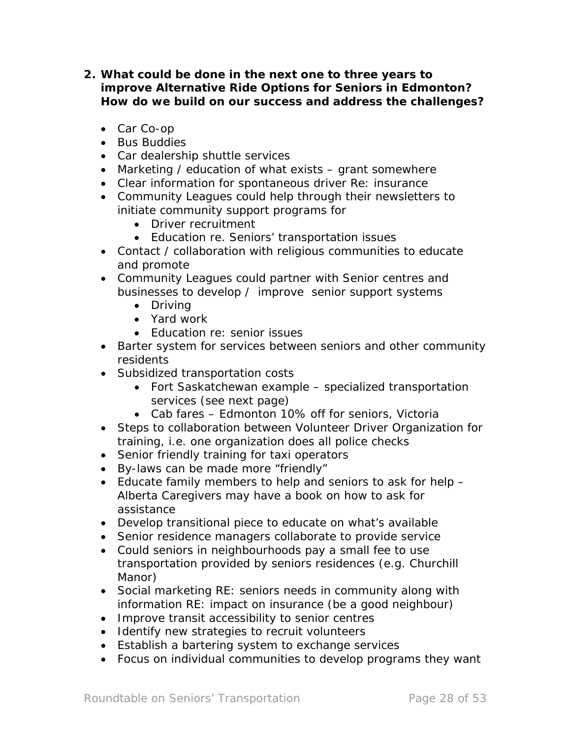- **2. What could be done in the next one to three years to improve** *Alternative Ride Options for Seniors* **in Edmonton? How do we build on our success and address the challenges?** 
	- Car Co-op
	- Bus Buddies
	- Car dealership shuttle services
	- Marketing / education of what exists grant somewhere
	- Clear information for spontaneous driver Re: insurance
	- Community Leagues could help through their newsletters to initiate community support programs for
		- Driver recruitment
		- Education re. Seniors' transportation issues
	- Contact / collaboration with religious communities to educate and promote
	- Community Leagues could partner with Senior centres and businesses to develop / improve senior support systems
		- Driving
		- Yard work
		- Education re: senior issues
	- Barter system for services between seniors and other community residents
	- Subsidized transportation costs
		- Fort Saskatchewan example specialized transportation services (see next page)
		- Cab fares Edmonton 10% off for seniors, Victoria
	- Steps to collaboration between Volunteer Driver Organization for training, i.e. one organization does all police checks
	- Senior friendly training for taxi operators
	- By-laws can be made more "friendly"
	- Educate family members to help and seniors to ask for help Alberta Caregivers may have a book on how to ask for assistance
	- Develop transitional piece to educate on what's available
	- Senior residence managers collaborate to provide service
	- Could seniors in neighbourhoods pay a small fee to use transportation provided by seniors residences (e.g. Churchill Manor)
	- Social marketing RE: seniors needs in community along with information RE: impact on insurance (be a good neighbour)
	- Improve transit accessibility to senior centres
	- Identify new strategies to recruit volunteers
	- Establish a bartering system to exchange services
	- Focus on individual communities to develop programs they want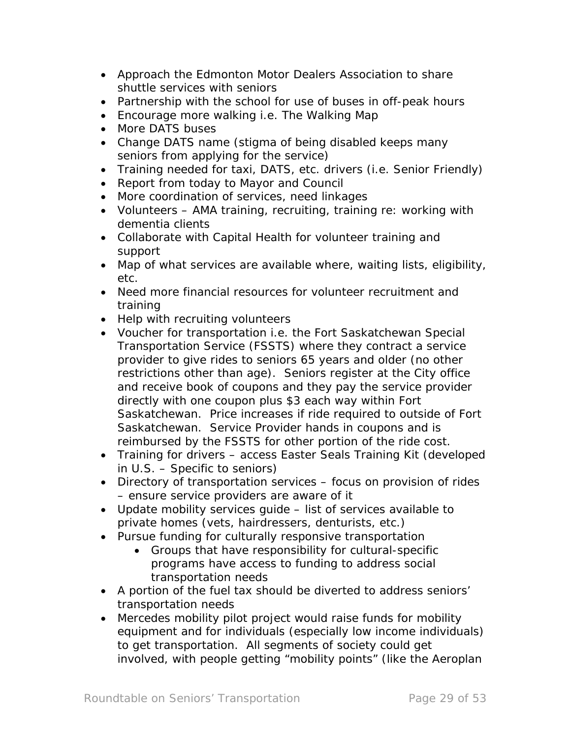- Approach the Edmonton Motor Dealers Association to share shuttle services with seniors
- Partnership with the school for use of buses in off-peak hours
- Encourage more walking i.e. The Walking Map
- More DATS buses
- Change DATS name (stigma of being disabled keeps many seniors from applying for the service)
- Training needed for taxi, DATS, etc. drivers (i.e. Senior Friendly)
- Report from today to Mayor and Council
- More coordination of services, need linkages
- Volunteers AMA training, recruiting, training re: working with dementia clients
- Collaborate with Capital Health for volunteer training and support
- Map of what services are available where, waiting lists, eligibility, etc.
- Need more financial resources for volunteer recruitment and training
- Help with recruiting volunteers
- Voucher for transportation i.e. the Fort Saskatchewan Special Transportation Service (FSSTS) where they contract a service provider to give rides to seniors 65 years and older (no other restrictions other than age). Seniors register at the City office and receive book of coupons and they pay the service provider directly with one coupon plus \$3 each way within Fort Saskatchewan. Price increases if ride required to outside of Fort Saskatchewan. Service Provider hands in coupons and is reimbursed by the FSSTS for other portion of the ride cost.
- Training for drivers access Easter Seals Training Kit (developed in U.S. – Specific to seniors)
- Directory of transportation services focus on provision of rides – ensure service providers are aware of it
- Update mobility services guide list of services available to private homes (vets, hairdressers, denturists, etc.)
- Pursue funding for culturally responsive transportation
	- Groups that have responsibility for cultural-specific programs have access to funding to address social transportation needs
- A portion of the fuel tax should be diverted to address seniors' transportation needs
- Mercedes mobility pilot project would raise funds for mobility equipment and for individuals (especially low income individuals) to get transportation. All segments of society could get involved, with people getting "mobility points" (like the Aeroplan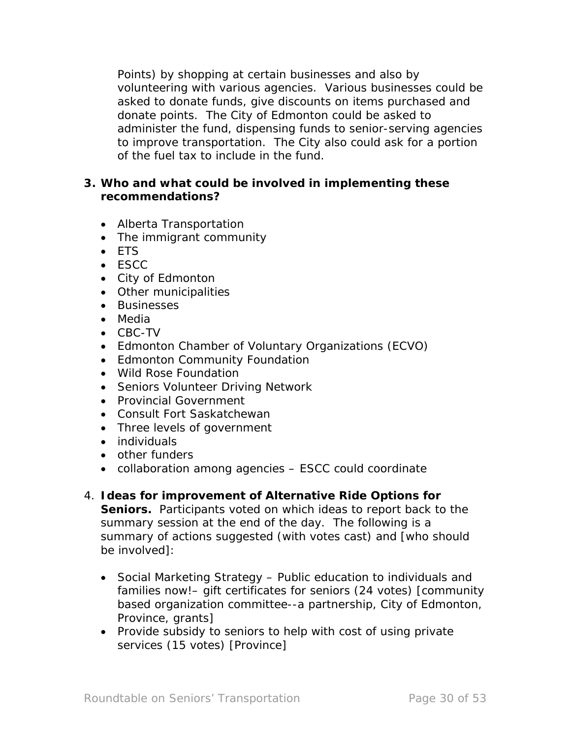Points) by shopping at certain businesses and also by volunteering with various agencies. Various businesses could be asked to donate funds, give discounts on items purchased and donate points. The City of Edmonton could be asked to administer the fund, dispensing funds to senior-serving agencies to improve transportation. The City also could ask for a portion of the fuel tax to include in the fund.

## **3. Who and what could be involved in implementing these recommendations?**

- Alberta Transportation
- The immigrant community
- ETS
- ESCC
- City of Edmonton
- Other municipalities
- Businesses
- Media
- CBC-TV
- Edmonton Chamber of Voluntary Organizations (ECVO)
- Edmonton Community Foundation
- Wild Rose Foundation
- Seniors Volunteer Driving Network
- Provincial Government
- Consult Fort Saskatchewan
- Three levels of government
- individuals
- other funders
- collaboration among agencies ESCC could coordinate
- 4. **Ideas for improvement of** *Alternative Ride Options for*  **Seniors.** Participants voted on which ideas to report back to the summary session at the end of the day. The following is a summary of actions suggested (with votes cast) and [who should be involved]:
	- Social Marketing Strategy Public education to individuals and families now!– gift certificates for seniors (24 votes) [community based organization committee--a partnership, City of Edmonton, Province, grants]
	- Provide subsidy to seniors to help with cost of using private services (15 votes) [Province]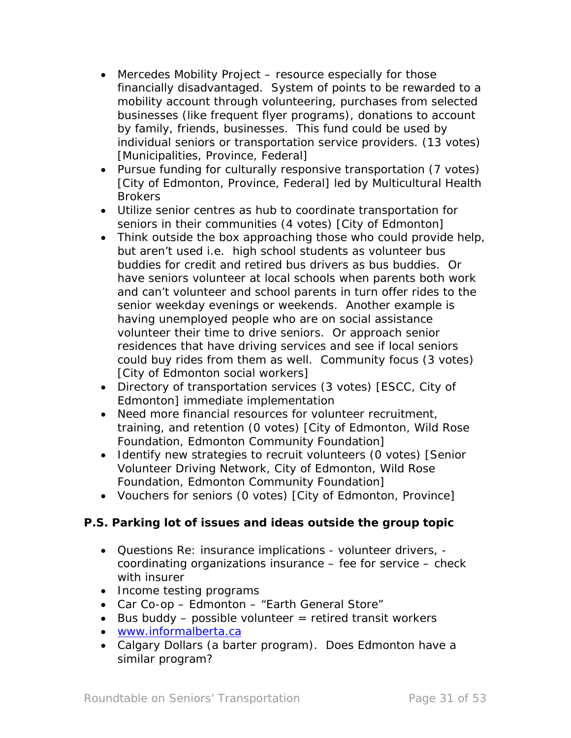- Mercedes Mobility Project resource especially for those financially disadvantaged. System of points to be rewarded to a mobility account through volunteering, purchases from selected businesses (like frequent flyer programs), donations to account by family, friends, businesses. This fund could be used by individual seniors or transportation service providers. (13 votes) [Municipalities, Province, Federal]
- Pursue funding for culturally responsive transportation (7 votes) [City of Edmonton, Province, Federal] led by Multicultural Health Brokers
- Utilize senior centres as hub to coordinate transportation for seniors in their communities (4 votes) [City of Edmonton]
- Think outside the box approaching those who could provide help, but aren't used i.e. high school students as volunteer bus buddies for credit and retired bus drivers as bus buddies. Or have seniors volunteer at local schools when parents both work and can't volunteer and school parents in turn offer rides to the senior weekday evenings or weekends. Another example is having unemployed people who are on social assistance volunteer their time to drive seniors. Or approach senior residences that have driving services and see if local seniors could buy rides from them as well. Community focus (3 votes) [City of Edmonton social workers]
- Directory of transportation services (3 votes) [ESCC, City of Edmonton] immediate implementation
- Need more financial resources for volunteer recruitment, training, and retention (0 votes) [City of Edmonton, Wild Rose Foundation, Edmonton Community Foundation]
- Identify new strategies to recruit volunteers (0 votes) [Senior Volunteer Driving Network, City of Edmonton, Wild Rose Foundation, Edmonton Community Foundation]
- Vouchers for seniors (0 votes) [City of Edmonton, Province]

# **P.S. Parking lot of issues and ideas outside the group topic**

- Questions Re: insurance implications volunteer drivers, coordinating organizations insurance – fee for service – check with insurer
- Income testing programs
- Car Co-op Edmonton "Earth General Store"
- $\bullet$  Bus buddy possible volunteer = retired transit workers
- [www.informalberta.ca](http://www.informaalberta.ca/)
- Calgary Dollars (a barter program). Does Edmonton have a similar program?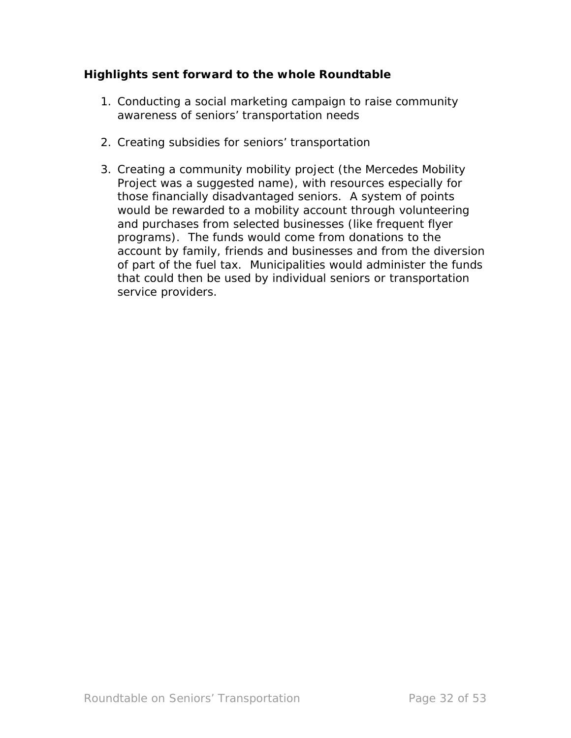## **Highlights sent forward to the whole Roundtable**

- 1. Conducting a social marketing campaign to raise community awareness of seniors' transportation needs
- 2. Creating subsidies for seniors' transportation
- 3. Creating a community mobility project (the Mercedes Mobility Project was a suggested name), with resources especially for those financially disadvantaged seniors. A system of points would be rewarded to a mobility account through volunteering and purchases from selected businesses (like frequent flyer programs). The funds would come from donations to the account by family, friends and businesses and from the diversion of part of the fuel tax. Municipalities would administer the funds that could then be used by individual seniors or transportation service providers.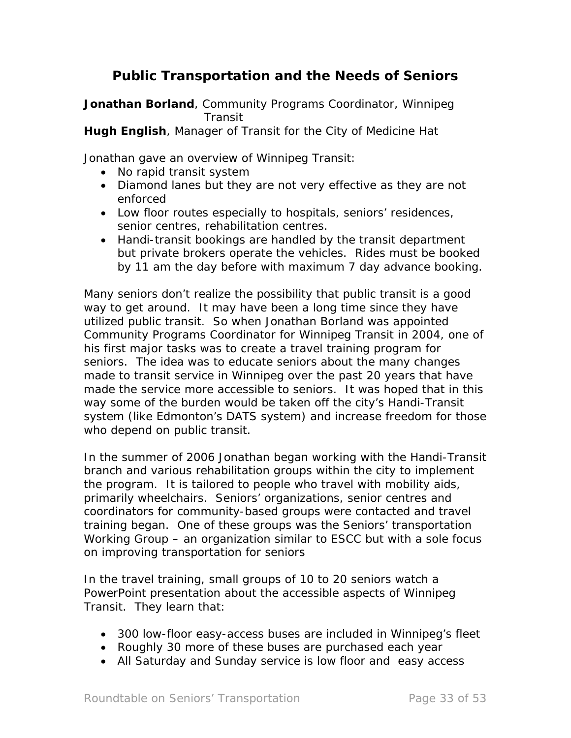# *Public Transportation and the Needs of Seniors*

**Jonathan Borland**, Community Programs Coordinator, Winnipeg **Transit** 

**Hugh English**, Manager of Transit for the City of Medicine Hat

Jonathan gave an overview of Winnipeg Transit:

- No rapid transit system
- Diamond lanes but they are not very effective as they are not enforced
- Low floor routes especially to hospitals, seniors' residences, senior centres, rehabilitation centres.
- Handi-transit bookings are handled by the transit department but private brokers operate the vehicles. Rides must be booked by 11 am the day before with maximum 7 day advance booking.

Many seniors don't realize the possibility that public transit is a good way to get around. It may have been a long time since they have utilized public transit. So when Jonathan Borland was appointed Community Programs Coordinator for Winnipeg Transit in 2004, one of his first major tasks was to create a travel training program for seniors. The idea was to educate seniors about the many changes made to transit service in Winnipeg over the past 20 years that have made the service more accessible to seniors. It was hoped that in this way some of the burden would be taken off the city's Handi-Transit system (like Edmonton's DATS system) and increase freedom for those who depend on public transit.

In the summer of 2006 Jonathan began working with the Handi-Transit branch and various rehabilitation groups within the city to implement the program. It is tailored to people who travel with mobility aids, primarily wheelchairs. Seniors' organizations, senior centres and coordinators for community-based groups were contacted and travel training began. One of these groups was the Seniors' transportation Working Group – an organization similar to ESCC but with a sole focus on improving transportation for seniors

In the travel training, small groups of 10 to 20 seniors watch a PowerPoint presentation about the accessible aspects of Winnipeg Transit. They learn that:

- 300 low-floor easy-access buses are included in Winnipeg's fleet
- Roughly 30 more of these buses are purchased each year
- All Saturday and Sunday service is low floor and easy access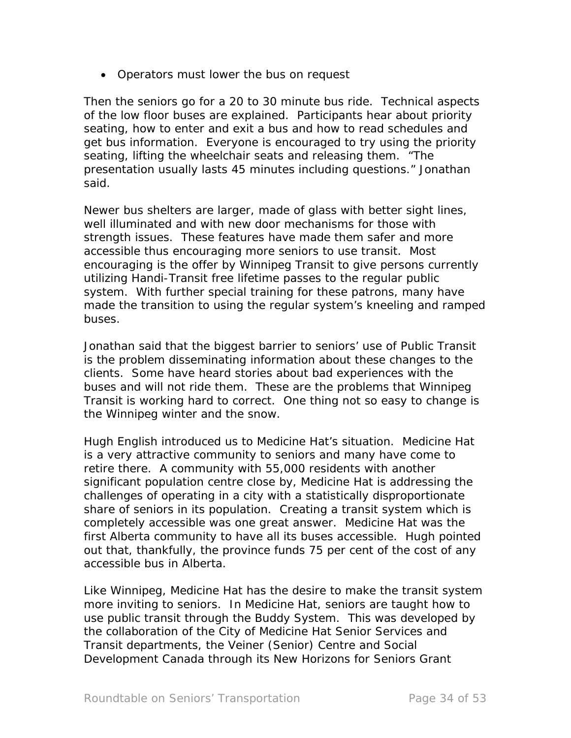• Operators must lower the bus on request

Then the seniors go for a 20 to 30 minute bus ride. Technical aspects of the low floor buses are explained. Participants hear about priority seating, how to enter and exit a bus and how to read schedules and get bus information. Everyone is encouraged to try using the priority seating, lifting the wheelchair seats and releasing them. "The presentation usually lasts 45 minutes including questions." Jonathan said.

Newer bus shelters are larger, made of glass with better sight lines, well illuminated and with new door mechanisms for those with strength issues. These features have made them safer and more accessible thus encouraging more seniors to use transit. Most encouraging is the offer by Winnipeg Transit to give persons currently utilizing Handi-Transit free lifetime passes to the regular public system. With further special training for these patrons, many have made the transition to using the regular system's kneeling and ramped buses.

Jonathan said that the biggest barrier to seniors' use of Public Transit is the problem disseminating information about these changes to the clients. Some have heard stories about bad experiences with the buses and will not ride them. These are the problems that Winnipeg Transit is working hard to correct. One thing not so easy to change is the Winnipeg winter and the snow.

Hugh English introduced us to Medicine Hat's situation. Medicine Hat is a very attractive community to seniors and many have come to retire there. A community with 55,000 residents with another significant population centre close by, Medicine Hat is addressing the challenges of operating in a city with a statistically disproportionate share of seniors in its population. Creating a transit system which is completely accessible was one great answer. Medicine Hat was the first Alberta community to have all its buses accessible. Hugh pointed out that, thankfully, the province funds 75 per cent of the cost of any accessible bus in Alberta.

Like Winnipeg, Medicine Hat has the desire to make the transit system more inviting to seniors. In Medicine Hat, seniors are taught how to use public transit through the Buddy System. This was developed by the collaboration of the City of Medicine Hat Senior Services and Transit departments, the Veiner (Senior) Centre and Social Development Canada through its New Horizons for Seniors Grant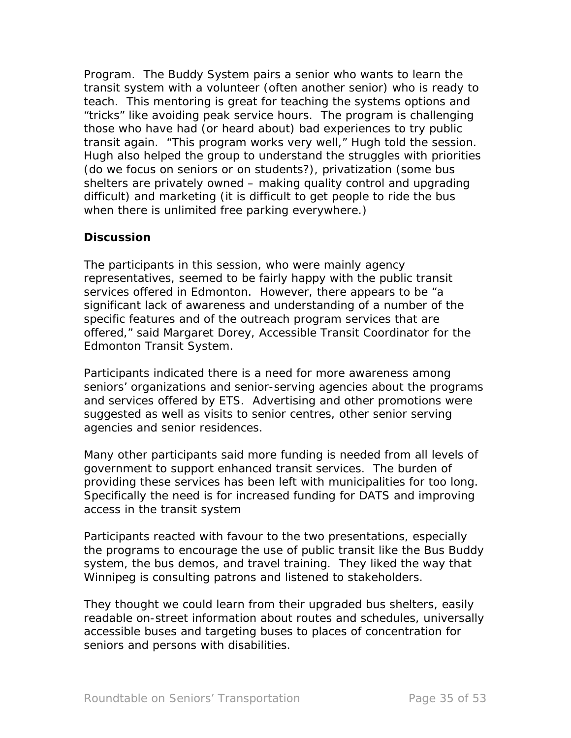Program. The Buddy System pairs a senior who wants to learn the transit system with a volunteer (often another senior) who is ready to teach. This mentoring is great for teaching the systems options and "tricks" like avoiding peak service hours. The program is challenging those who have had (or heard about) bad experiences to try public transit again. "This program works very well," Hugh told the session. Hugh also helped the group to understand the struggles with priorities (do we focus on seniors or on students?), privatization (some bus shelters are privately owned – making quality control and upgrading difficult) and marketing (it is difficult to get people to ride the bus when there is unlimited free parking everywhere.)

## *Discussion*

The participants in this session, who were mainly agency representatives, seemed to be fairly happy with the public transit services offered in Edmonton. However, there appears to be "a significant lack of awareness and understanding of a number of the specific features and of the outreach program services that are offered," said Margaret Dorey, Accessible Transit Coordinator for the Edmonton Transit System.

Participants indicated there is a need for more awareness among seniors' organizations and senior-serving agencies about the programs and services offered by ETS. Advertising and other promotions were suggested as well as visits to senior centres, other senior serving agencies and senior residences.

Many other participants said more funding is needed from all levels of government to support enhanced transit services. The burden of providing these services has been left with municipalities for too long. Specifically the need is for increased funding for DATS and improving access in the transit system

Participants reacted with favour to the two presentations, especially the programs to encourage the use of public transit like the Bus Buddy system, the bus demos, and travel training. They liked the way that Winnipeg is consulting patrons and listened to stakeholders.

They thought we could learn from their upgraded bus shelters, easily readable on-street information about routes and schedules, universally accessible buses and targeting buses to places of concentration for seniors and persons with disabilities.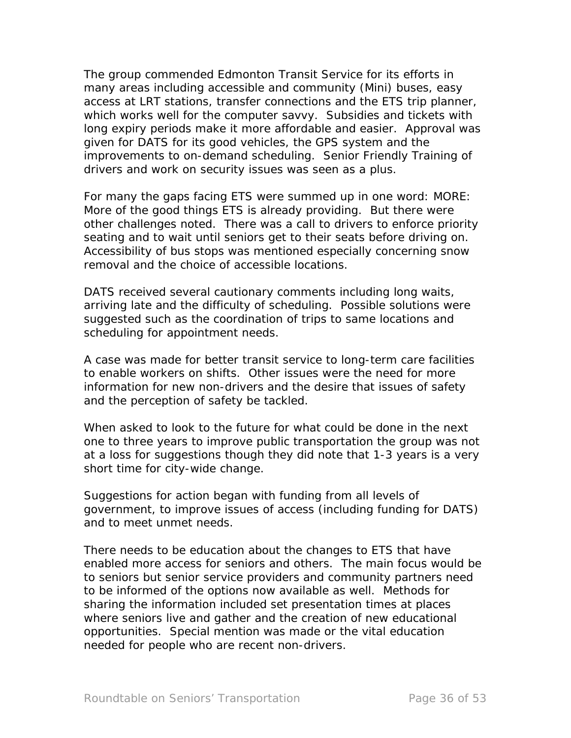The group commended Edmonton Transit Service for its efforts in many areas including accessible and community (Mini) buses, easy access at LRT stations, transfer connections and the ETS trip planner, which works well for the computer savvy. Subsidies and tickets with long expiry periods make it more affordable and easier. Approval was given for DATS for its good vehicles, the GPS system and the improvements to on-demand scheduling. Senior Friendly Training of drivers and work on security issues was seen as a plus.

For many the gaps facing ETS were summed up in one word: MORE: More of the good things ETS is already providing. But there were other challenges noted. There was a call to drivers to enforce priority seating and to wait until seniors get to their seats before driving on. Accessibility of bus stops was mentioned especially concerning snow removal and the choice of accessible locations.

DATS received several cautionary comments including long waits, arriving late and the difficulty of scheduling. Possible solutions were suggested such as the coordination of trips to same locations and scheduling for appointment needs.

A case was made for better transit service to long-term care facilities to enable workers on shifts. Other issues were the need for more information for new non-drivers and the desire that issues of safety and the perception of safety be tackled.

When asked to look to the future for what could be done in the next one to three years to improve public transportation the group was not at a loss for suggestions though they did note that 1-3 years is a very short time for city-wide change.

Suggestions for action began with funding from all levels of government, to improve issues of access (including funding for DATS) and to meet unmet needs.

There needs to be education about the changes to ETS that have enabled more access for seniors and others. The main focus would be to seniors but senior service providers and community partners need to be informed of the options now available as well. Methods for sharing the information included set presentation times at places where seniors live and gather and the creation of new educational opportunities. Special mention was made or the vital education needed for people who are recent non-drivers.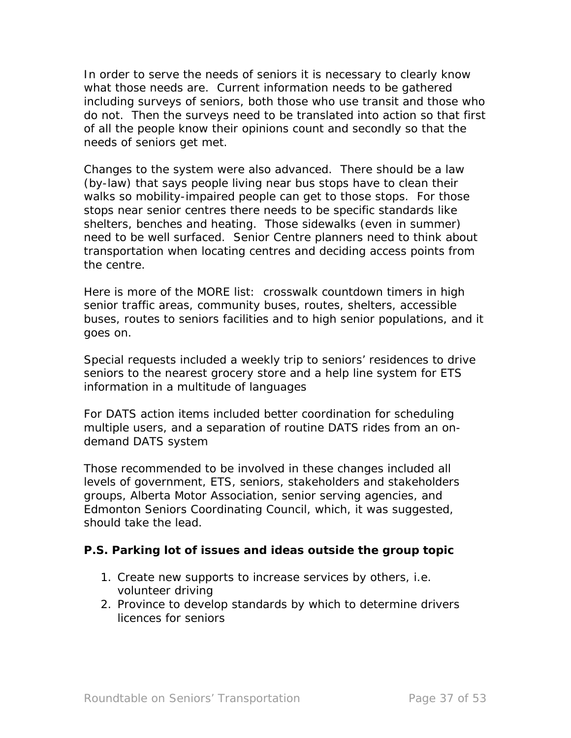In order to serve the needs of seniors it is necessary to clearly know what those needs are. Current information needs to be gathered including surveys of seniors, both those who use transit and those who do not. Then the surveys need to be translated into action so that first of all the people know their opinions count and secondly so that the needs of seniors get met.

Changes to the system were also advanced. There should be a law (by-law) that says people living near bus stops have to clean their walks so mobility-impaired people can get to those stops. For those stops near senior centres there needs to be specific standards like shelters, benches and heating. Those sidewalks (even in summer) need to be well surfaced. Senior Centre planners need to think about transportation when locating centres and deciding access points from the centre.

Here is more of the MORE list: crosswalk countdown timers in high senior traffic areas, community buses, routes, shelters, accessible buses, routes to seniors facilities and to high senior populations, and it goes on.

Special requests included a weekly trip to seniors' residences to drive seniors to the nearest grocery store and a help line system for ETS information in a multitude of languages

For DATS action items included better coordination for scheduling multiple users, and a separation of routine DATS rides from an ondemand DATS system

Those recommended to be involved in these changes included all levels of government, ETS, seniors, stakeholders and stakeholders groups, Alberta Motor Association, senior serving agencies, and Edmonton Seniors Coordinating Council, which, it was suggested, should take the lead.

## **P.S. Parking lot of issues and ideas outside the group topic**

- 1. Create new supports to increase services by others, i.e. volunteer driving
- 2. Province to develop standards by which to determine drivers licences for seniors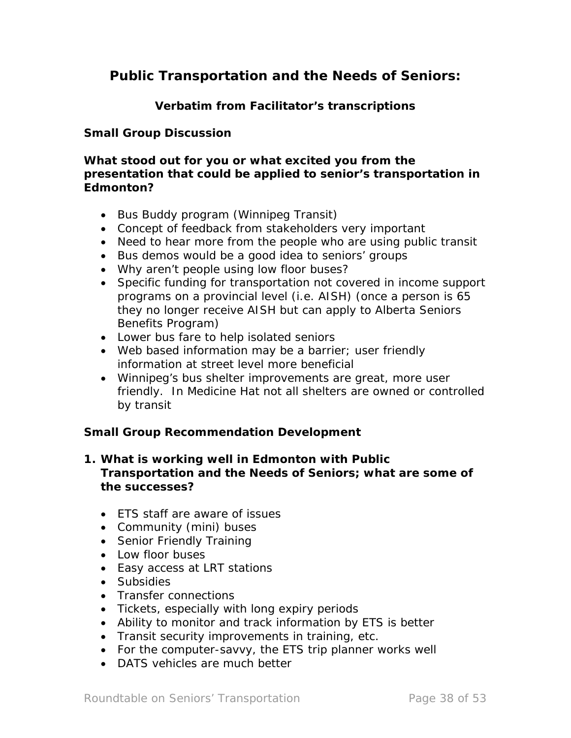# *Public Transportation and the Needs of Seniors***:**

## **Verbatim from Facilitator's transcriptions**

#### **Small Group Discussion**

#### **What stood out for you or what excited you from the presentation that could be applied to senior's transportation in Edmonton?**

- Bus Buddy program (Winnipeg Transit)
- Concept of feedback from stakeholders very important
- Need to hear more from the people who are using public transit
- Bus demos would be a good idea to seniors' groups
- Why aren't people using low floor buses?
- Specific funding for transportation not covered in income support programs on a provincial level (i.e. AISH) (once a person is 65 they no longer receive AISH but can apply to Alberta Seniors Benefits Program)
- Lower bus fare to help isolated seniors
- Web based information may be a barrier; user friendly information at street level more beneficial
- Winnipeg's bus shelter improvements are great, more user friendly. In Medicine Hat not all shelters are owned or controlled by transit

#### **Small Group Recommendation Development**

#### **1. What is working well in Edmonton with** *Public Transportation and the Needs of Seniors;* **what are some of the successes?**

- ETS staff are aware of issues
- Community (mini) buses
- Senior Friendly Training
- Low floor buses
- Easy access at LRT stations
- Subsidies
- Transfer connections
- Tickets, especially with long expiry periods
- Ability to monitor and track information by ETS is better
- Transit security improvements in training, etc.
- For the computer-savvy, the ETS trip planner works well
- DATS vehicles are much better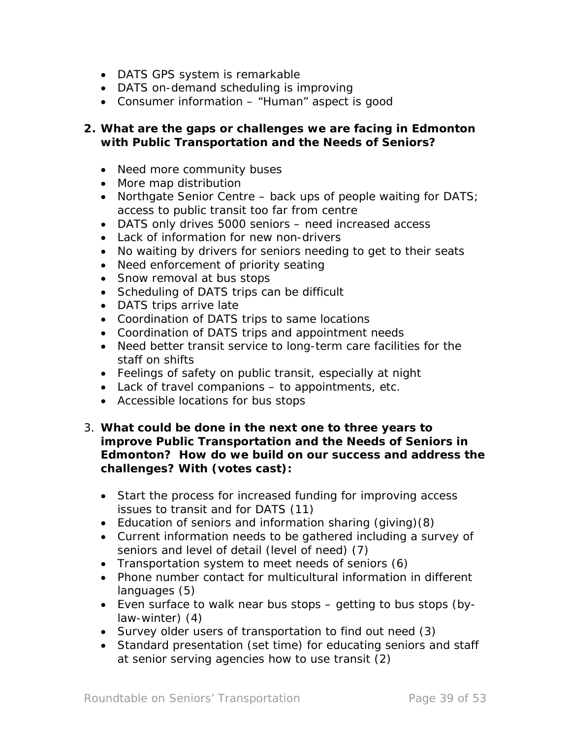- DATS GPS system is remarkable
- DATS on-demand scheduling is improving
- Consumer information "Human" aspect is good

#### **2. What are the gaps or challenges we are facing in Edmonton with** *Public Transportation and the Needs of Seniors?*

- Need more community buses
- More map distribution
- Northgate Senior Centre back ups of people waiting for DATS; access to public transit too far from centre
- DATS only drives 5000 seniors need increased access
- Lack of information for new non-drivers
- No waiting by drivers for seniors needing to get to their seats
- Need enforcement of priority seating
- Snow removal at bus stops
- Scheduling of DATS trips can be difficult
- DATS trips arrive late
- Coordination of DATS trips to same locations
- Coordination of DATS trips and appointment needs
- Need better transit service to long-term care facilities for the staff on shifts
- Feelings of safety on public transit, especially at night
- Lack of travel companions to appointments, etc.
- Accessible locations for bus stops
- 3. **What could be done in the next one to three years to improve** *Public Transportation and the Needs of Seniors* **in Edmonton? How do we build on our success and address the challenges? With (votes cast):** 
	- Start the process for increased funding for improving access issues to transit and for DATS (11)
	- Education of seniors and information sharing (giving)(8)
	- Current information needs to be gathered including a survey of seniors and level of detail (level of need) (7)
	- Transportation system to meet needs of seniors (6)
	- Phone number contact for multicultural information in different languages (5)
	- Even surface to walk near bus stops getting to bus stops (bylaw-winter) (4)
	- Survey older users of transportation to find out need (3)
	- Standard presentation (set time) for educating seniors and staff at senior serving agencies how to use transit (2)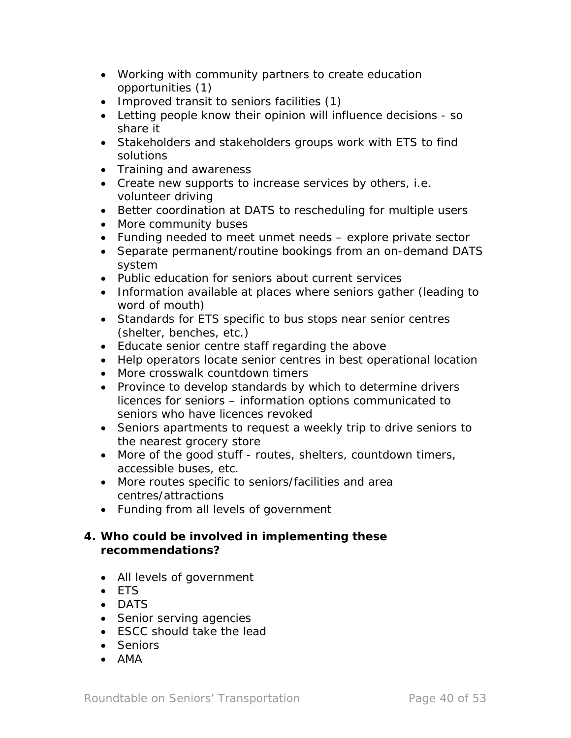- Working with community partners to create education opportunities (1)
- Improved transit to seniors facilities (1)
- Letting people know their opinion will influence decisions so share it
- Stakeholders and stakeholders groups work with ETS to find solutions
- Training and awareness
- Create new supports to increase services by others, i.e. volunteer driving
- Better coordination at DATS to rescheduling for multiple users
- More community buses
- Funding needed to meet unmet needs explore private sector
- Separate permanent/routine bookings from an on-demand DATS system
- Public education for seniors about current services
- Information available at places where seniors gather (leading to word of mouth)
- Standards for ETS specific to bus stops near senior centres (shelter, benches, etc.)
- Educate senior centre staff regarding the above
- Help operators locate senior centres in best operational location
- More crosswalk countdown timers
- Province to develop standards by which to determine drivers licences for seniors – information options communicated to seniors who have licences revoked
- Seniors apartments to request a weekly trip to drive seniors to the nearest grocery store
- More of the good stuff routes, shelters, countdown timers, accessible buses, etc.
- More routes specific to seniors/facilities and area centres/attractions
- Funding from all levels of government

## **4. Who could be involved in implementing these recommendations?**

- All levels of government
- ETS
- DATS
- Senior serving agencies
- ESCC should take the lead
- Seniors
- AMA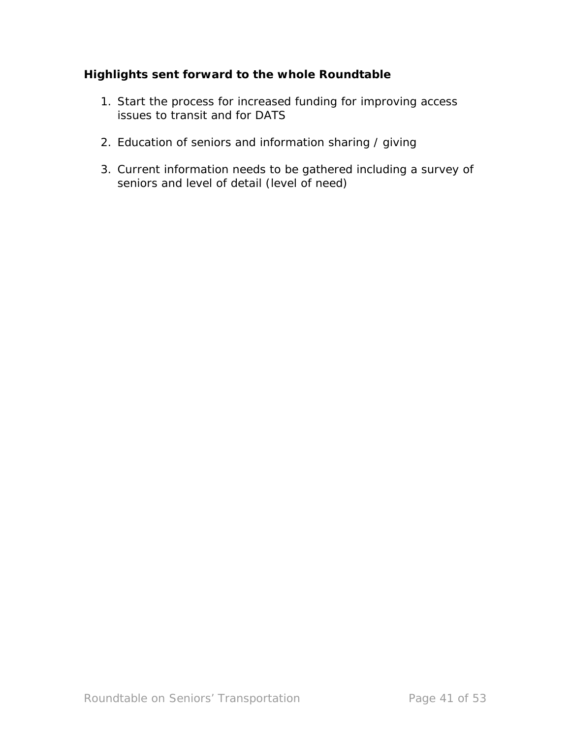# **Highlights sent forward to the whole Roundtable**

- 1. Start the process for increased funding for improving access issues to transit and for DATS
- 2. Education of seniors and information sharing / giving
- 3. Current information needs to be gathered including a survey of seniors and level of detail (level of need)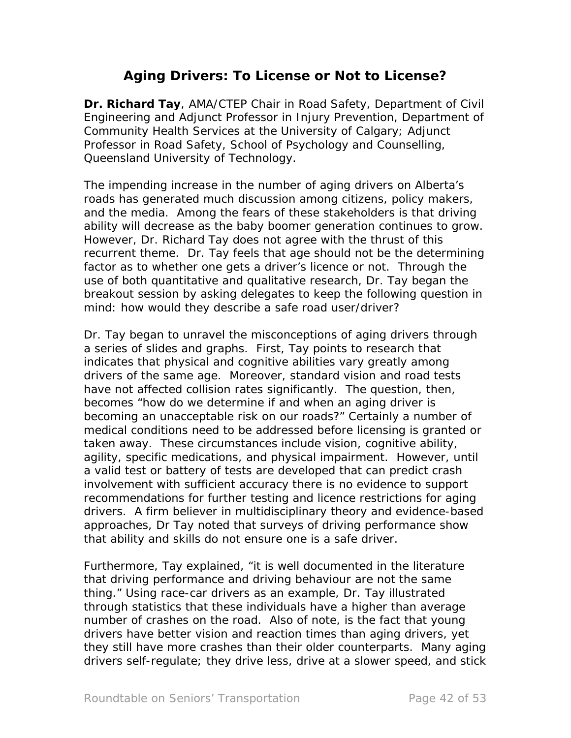# *Aging Drivers: To License or Not to License?*

**Dr. Richard Tay**, AMA/CTEP Chair in Road Safety, Department of Civil Engineering and Adjunct Professor in Injury Prevention, Department of Community Health Services at the University of Calgary; Adjunct Professor in Road Safety, School of Psychology and Counselling, Queensland University of Technology.

The impending increase in the number of aging drivers on Alberta's roads has generated much discussion among citizens, policy makers, and the media. Among the fears of these stakeholders is that driving ability will decrease as the baby boomer generation continues to grow. However, Dr. Richard Tay does not agree with the thrust of this recurrent theme. Dr. Tay feels that age should not be the determining factor as to whether one gets a driver's licence or not. Through the use of both quantitative and qualitative research, Dr. Tay began the breakout session by asking delegates to keep the following question in mind: how would they describe a safe road user/driver?

Dr. Tay began to unravel the misconceptions of aging drivers through a series of slides and graphs. First, Tay points to research that indicates that physical and cognitive abilities vary greatly among drivers of the same age. Moreover, standard vision and road tests have not affected collision rates significantly. The question, then, becomes "how do we determine if and when an aging driver is becoming an unacceptable risk on our roads?" Certainly a number of medical conditions need to be addressed before licensing is granted or taken away. These circumstances include vision, cognitive ability, agility, specific medications, and physical impairment. However, until a valid test or battery of tests are developed that can predict crash involvement with sufficient accuracy there is no evidence to support recommendations for further testing and licence restrictions for aging drivers. A firm believer in multidisciplinary theory and evidence-based approaches, Dr Tay noted that surveys of driving performance show that ability and skills do not ensure one is a safe driver.

Furthermore, Tay explained, "it is well documented in the literature that driving performance and driving behaviour are not the same thing." Using race-car drivers as an example, Dr. Tay illustrated through statistics that these individuals have a higher than average number of crashes on the road. Also of note, is the fact that young drivers have better vision and reaction times than aging drivers, yet they still have more crashes than their older counterparts. Many aging drivers self-regulate; they drive less, drive at a slower speed, and stick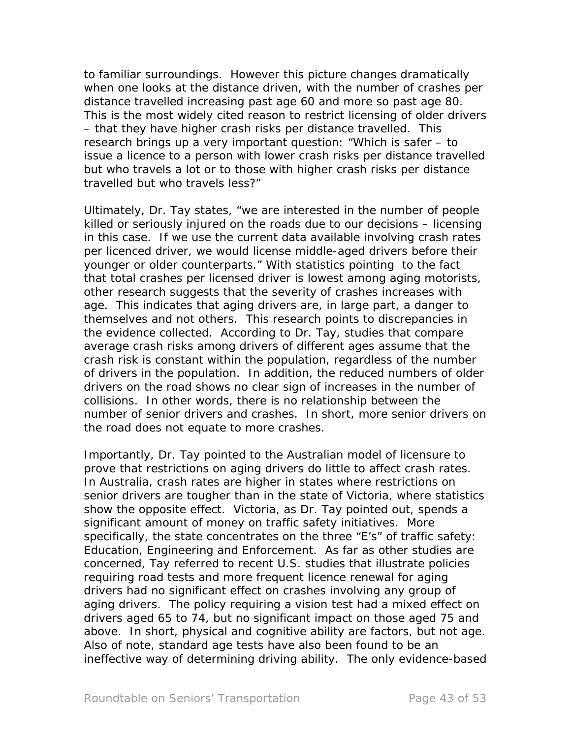to familiar surroundings. However this picture changes dramatically when one looks at the distance driven, with the number of crashes per distance travelled increasing past age 60 and more so past age 80. This is the most widely cited reason to restrict licensing of older drivers – that they have higher crash risks per distance travelled. This research brings up a very important question: "Which is safer – to issue a licence to a person with lower crash risks per distance travelled but who travels a lot or to those with higher crash risks per distance travelled but who travels less?"

Ultimately, Dr. Tay states, "we are interested in the number of people killed or seriously injured on the roads due to our decisions – licensing in this case. If we use the current data available involving crash rates per licenced driver, we would license middle-aged drivers before their younger or older counterparts." With statistics pointing to the fact that total crashes per licensed driver is lowest among aging motorists, other research suggests that the severity of crashes increases with age. This indicates that aging drivers are, in large part, a danger to themselves and not others. This research points to discrepancies in the evidence collected. According to Dr. Tay, studies that compare average crash risks among drivers of different ages assume that the crash risk is constant within the population, regardless of the number of drivers in the population. In addition, the reduced numbers of older drivers on the road shows no clear sign of increases in the number of collisions. In other words, there is no relationship between the number of senior drivers and crashes. In short, more senior drivers on the road does not equate to more crashes.

Importantly, Dr. Tay pointed to the Australian model of licensure to prove that restrictions on aging drivers do little to affect crash rates. In Australia, crash rates are higher in states where restrictions on senior drivers are tougher than in the state of Victoria, where statistics show the opposite effect. Victoria, as Dr. Tay pointed out, spends a significant amount of money on traffic safety initiatives. More specifically, the state concentrates on the three "E's" of traffic safety: *Education, Engineering and Enforcement*. As far as other studies are concerned, Tay referred to recent U.S. studies that illustrate policies requiring road tests and more frequent licence renewal for aging drivers had no significant effect on crashes involving any group of aging drivers. The policy requiring a vision test had a mixed effect on drivers aged 65 to 74, but no significant impact on those aged 75 and above. In short, physical and cognitive ability are factors, but not age. Also of note, standard age tests have also been found to be an ineffective way of determining driving ability. The only evidence-based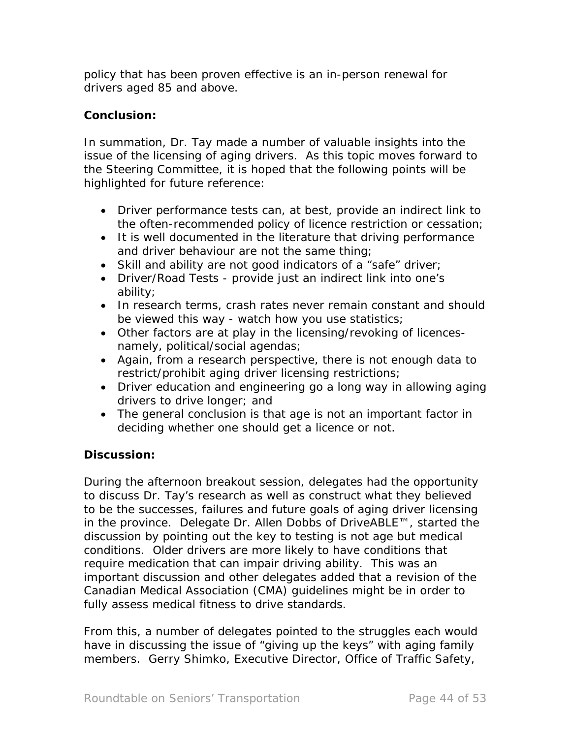policy that has been proven effective is an in-person renewal for drivers aged 85 and above.

## *Conclusion:*

In summation, Dr. Tay made a number of valuable insights into the issue of the licensing of aging drivers. As this topic moves forward to the Steering Committee, it is hoped that the following points will be highlighted for future reference:

- Driver performance tests can, at best, provide an indirect link to the often-recommended policy of licence restriction or cessation;
- It is well documented in the literature that driving performance and driver behaviour are not the same thing;
- Skill and ability are not good indicators of a "safe" driver;
- Driver/Road Tests provide just an indirect link into one's ability;
- In research terms, crash rates never remain constant and should be viewed this way - watch how you use statistics;
- Other factors are at play in the licensing/revoking of licencesnamely, political/social agendas;
- Again, from a research perspective, there is not enough data to restrict/prohibit aging driver licensing restrictions;
- Driver education and engineering go a long way in allowing aging drivers to drive longer; and
- The general conclusion is that age is not an important factor in deciding whether one should get a licence or not.

# *Discussion:*

During the afternoon breakout session, delegates had the opportunity to discuss Dr. Tay's research as well as construct what they believed to be the successes, failures and future goals of aging driver licensing in the province. Delegate Dr. Allen Dobbs of DriveABLE™, started the discussion by pointing out the key to testing is not age but medical conditions. Older drivers are more likely to have conditions that require medication that can impair driving ability. This was an important discussion and other delegates added that a revision of the Canadian Medical Association (CMA) guidelines might be in order to fully assess medical fitness to drive standards.

From this, a number of delegates pointed to the struggles each would have in discussing the issue of "giving up the keys" with aging family members. Gerry Shimko, Executive Director, Office of Traffic Safety,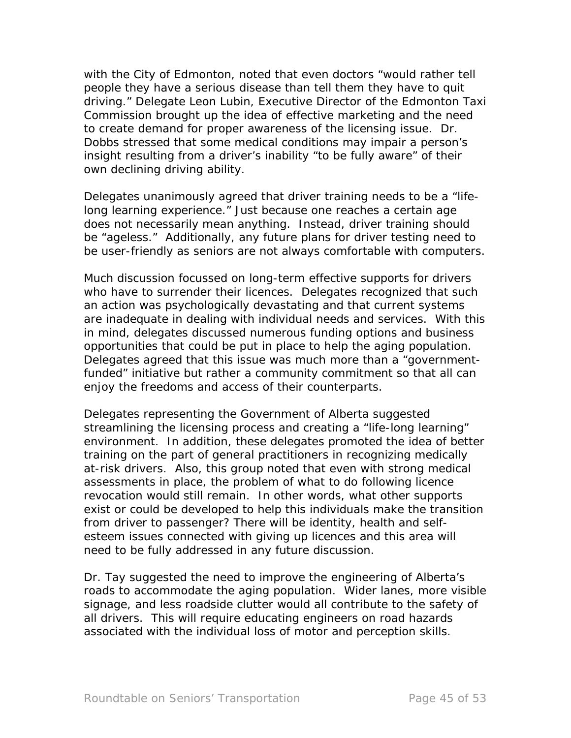with the City of Edmonton, noted that even doctors "would rather tell people they have a serious disease than tell them they have to quit driving." Delegate Leon Lubin, Executive Director of the Edmonton Taxi Commission brought up the idea of effective marketing and the need to create demand for proper awareness of the licensing issue. Dr. Dobbs stressed that some medical conditions may impair a person's insight resulting from a driver's inability "to be fully aware" of their own declining driving ability.

Delegates unanimously agreed that driver training needs to be a "lifelong learning experience." Just because one reaches a certain age does not necessarily mean anything. Instead, driver training should be "ageless." Additionally, any future plans for driver testing need to be user-friendly as seniors are not always comfortable with computers.

Much discussion focussed on long-term effective supports for drivers who have to surrender their licences. Delegates recognized that such an action was psychologically devastating and that current systems are inadequate in dealing with individual needs and services. With this in mind, delegates discussed numerous funding options and business opportunities that could be put in place to help the aging population. Delegates agreed that this issue was much more than a "governmentfunded" initiative but rather a community commitment so that all can enjoy the freedoms and access of their counterparts.

Delegates representing the Government of Alberta suggested streamlining the licensing process and creating a "life-long learning" environment. In addition, these delegates promoted the idea of better training on the part of general practitioners in recognizing medically at-risk drivers. Also, this group noted that even with strong medical assessments in place, the problem of what to do following licence revocation would still remain. In other words, what other supports exist or could be developed to help this individuals make the transition from driver to passenger? There will be identity, health and selfesteem issues connected with giving up licences and this area will need to be fully addressed in any future discussion.

Dr. Tay suggested the need to improve the engineering of Alberta's roads to accommodate the aging population. Wider lanes, more visible signage, and less roadside clutter would all contribute to the safety of all drivers. This will require educating engineers on road hazards associated with the individual loss of motor and perception skills.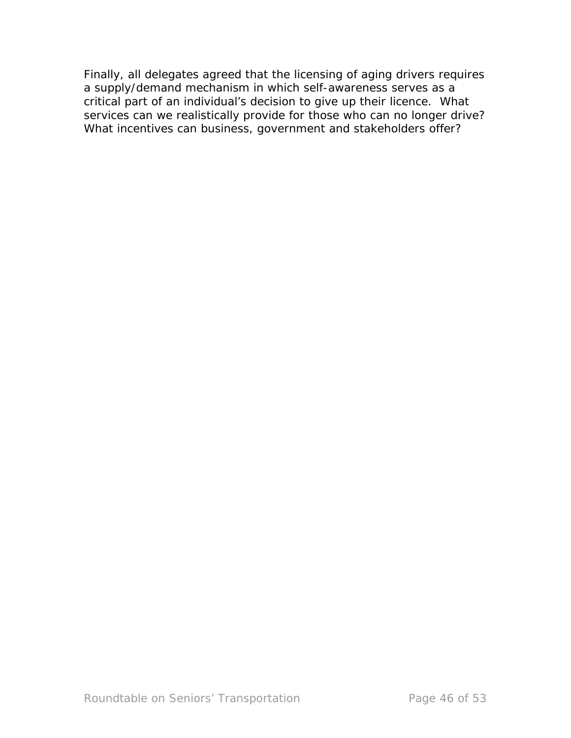Finally, all delegates agreed that the licensing of aging drivers requires a supply/demand mechanism in which self-awareness serves as a critical part of an individual's decision to give up their licence. What services can we realistically provide for those who can no longer drive? What incentives can business, government and stakeholders offer?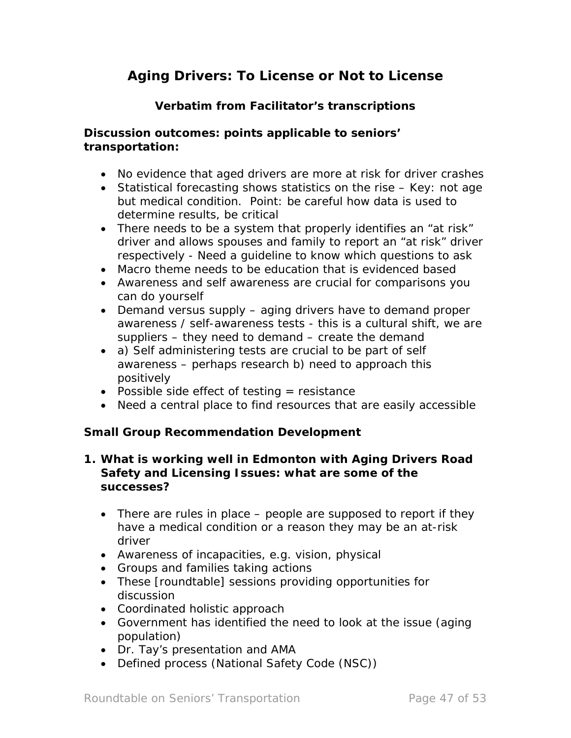# *Aging Drivers: To License or Not to License*

# **Verbatim from Facilitator's transcriptions**

## **Discussion outcomes: points applicable to seniors' transportation:**

- No evidence that aged drivers are more at risk for driver crashes
- Statistical forecasting shows statistics on the rise Key: not age but medical condition. Point: be careful how data is used to determine results, be critical
- There needs to be a system that properly identifies an "at risk" driver and allows spouses and family to report an "at risk" driver respectively - Need a guideline to know which questions to ask
- Macro theme needs to be education that is evidenced based
- Awareness and self awareness are crucial for comparisons you can do yourself
- Demand versus supply aging drivers have to demand proper awareness / self-awareness tests - this is a cultural shift, we are suppliers – they need to demand – create the demand
- a) Self administering tests are crucial to be part of self awareness – perhaps research b) need to approach this positively
- Possible side effect of testing  $=$  resistance
- Need a central place to find resources that are easily accessible

## **Small Group Recommendation Development**

#### **1. What is working well in Edmonton with** *Aging Drivers Road Safety and Licensing Issues:* **what are some of the successes?**

- There are rules in place people are supposed to report if they have a medical condition or a reason they may be an at-risk driver
- Awareness of incapacities, e.g. vision, physical
- Groups and families taking actions
- These [roundtable] sessions providing opportunities for discussion
- Coordinated holistic approach
- Government has identified the need to look at the issue (aging population)
- Dr. Tay's presentation and AMA
- Defined process (National Safety Code (NSC))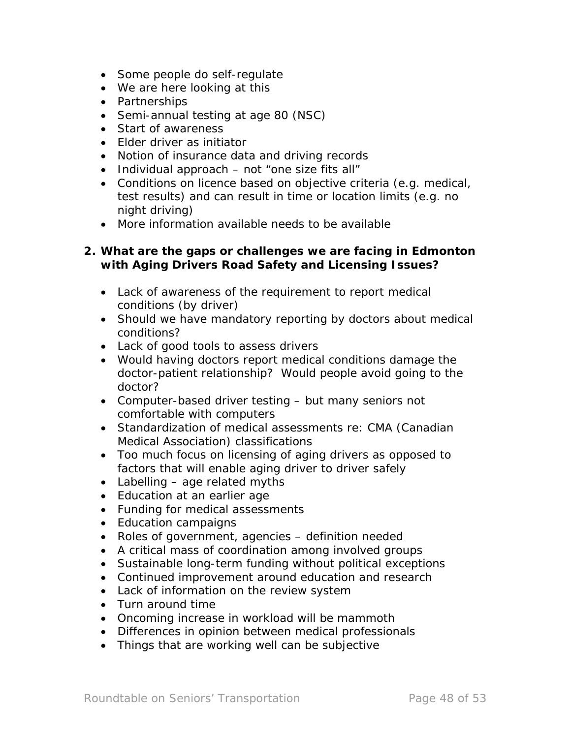- Some people do self-regulate
- We are here looking at this
- Partnerships
- Semi-annual testing at age 80 (NSC)
- Start of awareness
- Elder driver as initiator
- Notion of insurance data and driving records
- Individual approach not "one size fits all"
- Conditions on licence based on objective criteria (e.g. medical, test results) and can result in time or location limits (e.g. no night driving)
- More information available needs to be available

#### **2. What are the gaps or challenges we are facing in Edmonton with** *Aging Drivers Road Safety and Licensing Issues?*

- Lack of awareness of the requirement to report medical conditions (by driver)
- Should we have mandatory reporting by doctors about medical conditions?
- Lack of good tools to assess drivers
- Would having doctors report medical conditions damage the doctor-patient relationship? Would people avoid going to the doctor?
- Computer-based driver testing but many seniors not comfortable with computers
- Standardization of medical assessments re: CMA (Canadian Medical Association) classifications
- Too much focus on licensing of aging drivers as opposed to factors that will enable aging driver to driver safely
- Labelling age related myths
- Education at an earlier age
- Funding for medical assessments
- Education campaigns
- Roles of government, agencies definition needed
- A critical mass of coordination among involved groups
- Sustainable long-term funding without political exceptions
- Continued improvement around education and research
- Lack of information on the review system
- Turn around time
- Oncoming increase in workload will be mammoth
- Differences in opinion between medical professionals
- Things that are working well can be subjective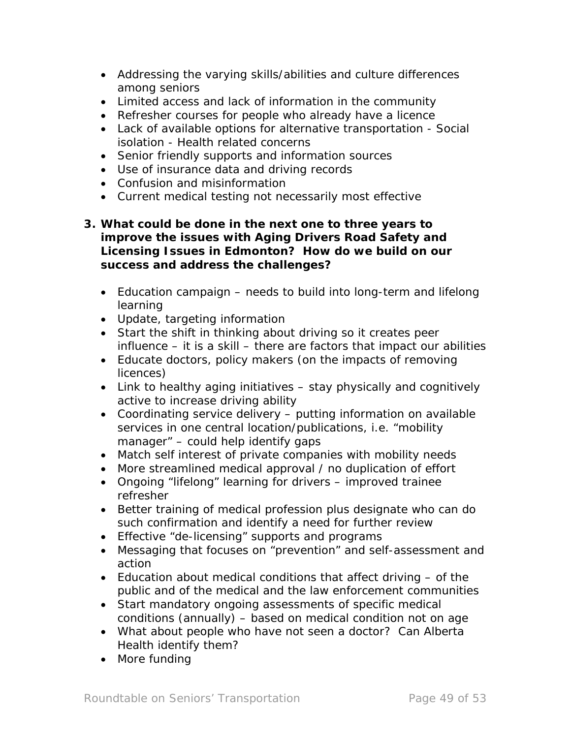- Addressing the varying skills/abilities and culture differences among seniors
- Limited access and lack of information in the community
- Refresher courses for people who already have a licence
- Lack of available options for alternative transportation Social isolation - Health related concerns
- Senior friendly supports and information sources
- Use of insurance data and driving records
- Confusion and misinformation
- Current medical testing not necessarily most effective

#### **3. What could be done in the next one to three years to improve the issues with** *Aging Drivers Road Safety and Licensing Issues* **in Edmonton? How do we build on our success and address the challenges?**

- Education campaign needs to build into long-term and lifelong learning
- Update, targeting information
- Start the shift in thinking about driving so it creates peer influence – it is a skill – there are factors that impact our abilities
- Educate doctors, policy makers (on the impacts of removing licences)
- Link to healthy aging initiatives stay physically and cognitively active to increase driving ability
- Coordinating service delivery putting information on available services in one central location/publications, i.e. "mobility manager" – could help identify gaps
- Match self interest of private companies with mobility needs
- More streamlined medical approval / no duplication of effort
- Ongoing "lifelong" learning for drivers improved trainee refresher
- Better training of medical profession plus designate who can do such confirmation and identify a need for further review
- Effective "de-licensing" supports and programs
- Messaging that focuses on "prevention" and self-assessment and action
- Education about medical conditions that affect driving of the public and of the medical and the law enforcement communities
- Start mandatory ongoing assessments of specific medical conditions (annually) – based on medical condition not on age
- What about people who have not seen a doctor? Can Alberta Health identify them?
- More funding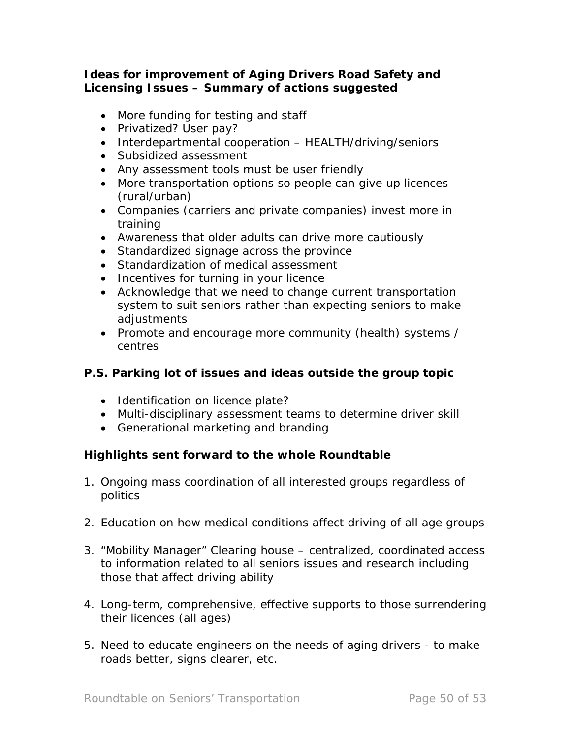## **Ideas for improvement of** *Aging Drivers Road Safety and Licensing Issues* **– Summary of actions suggested**

- More funding for testing and staff
- Privatized? User pay?
- Interdepartmental cooperation HEALTH/driving/seniors
- Subsidized assessment
- Any assessment tools must be user friendly
- More transportation options so people can give up licences (rural/urban)
- Companies (carriers and private companies) invest more in training
- Awareness that older adults can drive more cautiously
- Standardized signage across the province
- Standardization of medical assessment
- Incentives for turning in your licence
- Acknowledge that we need to change current transportation system to suit seniors rather than expecting seniors to make adjustments
- Promote and encourage more community (health) systems / centres

# **P.S. Parking lot of issues and ideas outside the group topic**

- Identification on licence plate?
- Multi-disciplinary assessment teams to determine driver skill
- Generational marketing and branding

# **Highlights sent forward to the whole Roundtable**

- 1. Ongoing mass coordination of all interested groups regardless of politics
- 2. Education on how medical conditions affect driving of all age groups
- 3. "Mobility Manager" Clearing house centralized, coordinated access to information related to all seniors issues and research including those that affect driving ability
- 4. Long-term, comprehensive, effective supports to those surrendering their licences (all ages)
- 5. Need to educate engineers on the needs of aging drivers to make roads better, signs clearer, etc.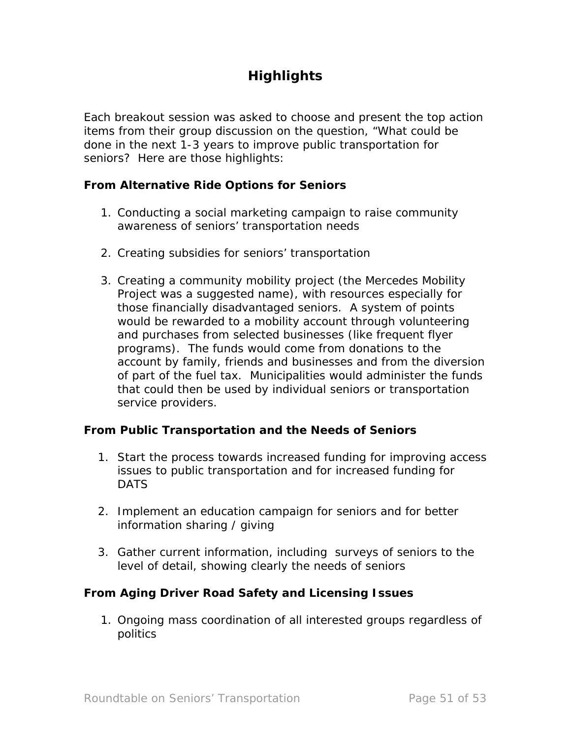# **Highlights**

Each breakout session was asked to choose and present the top action items from their group discussion on the question, "What could be done in the next 1-3 years to improve public transportation for seniors? Here are those highlights:

#### **From** *Alternative Ride Options for Seniors*

- 1. Conducting a social marketing campaign to raise community awareness of seniors' transportation needs
- 2. Creating subsidies for seniors' transportation
- 3. Creating a community mobility project (the Mercedes Mobility Project was a suggested name), with resources especially for those financially disadvantaged seniors. A system of points would be rewarded to a mobility account through volunteering and purchases from selected businesses (like frequent flyer programs). The funds would come from donations to the account by family, friends and businesses and from the diversion of part of the fuel tax. Municipalities would administer the funds that could then be used by individual seniors or transportation service providers.

## **From** *Public Transportation and the Needs of Seniors*

- 1. Start the process towards increased funding for improving access issues to public transportation and for increased funding for DATS
- 2. Implement an education campaign for seniors and for better information sharing / giving
- 3. Gather current information, including surveys of seniors to the level of detail, showing clearly the needs of seniors

#### **From** *Aging Driver Road Safety and Licensing Issues*

1. Ongoing mass coordination of all interested groups regardless of politics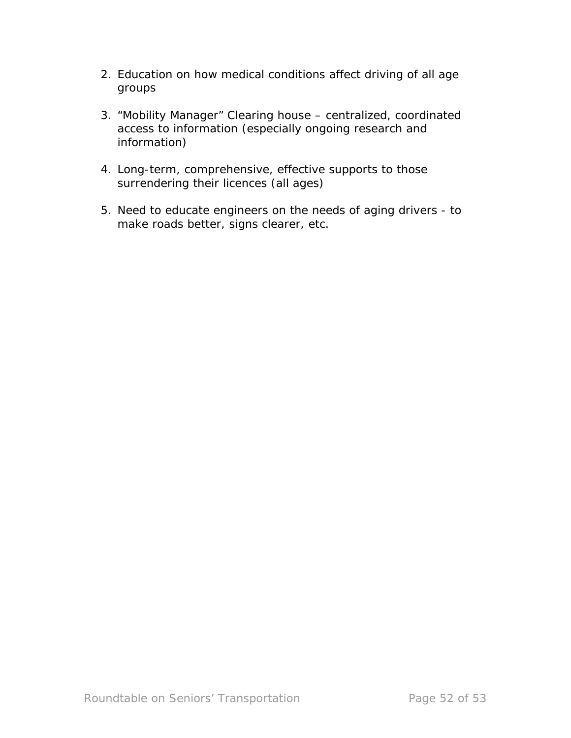- 2. Education on how medical conditions affect driving of all age groups
- 3. "Mobility Manager" Clearing house centralized, coordinated access to information (especially ongoing research and information)
- 4. Long-term, comprehensive, effective supports to those surrendering their licences (all ages)
- 5. Need to educate engineers on the needs of aging drivers to make roads better, signs clearer, etc.